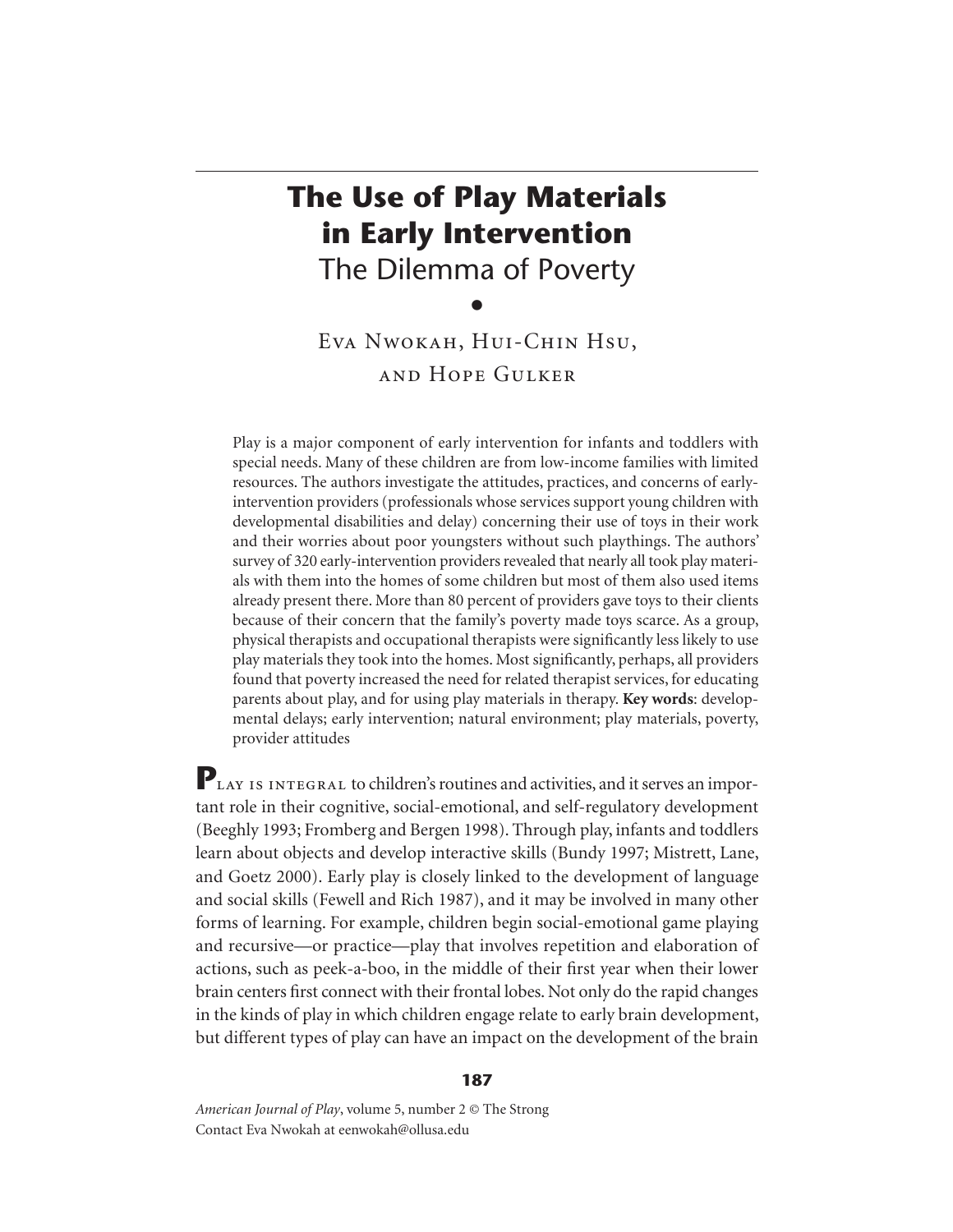# **The Use of Play Materials in Early Intervention** The Dilemma of Poverty

 $\bullet$ 

Eva Nwokah, Hui-Chin Hsu, and Hope Gulker

Play is a major component of early intervention for infants and toddlers with special needs. Many of these children are from low-income families with limited resources. The authors investigate the attitudes, practices, and concerns of earlyintervention providers (professionals whose services support young children with developmental disabilities and delay) concerning their use of toys in their work and their worries about poor youngsters without such playthings. The authors' survey of 320 early-intervention providers revealed that nearly all took play materials with them into the homes of some children but most of them also used items already present there. More than 80 percent of providers gave toys to their clients because of their concern that the family's poverty made toys scarce. As a group, physical therapists and occupational therapists were significantly less likely to use play materials they took into the homes. Most significantly, perhaps, all providers found that poverty increased the need for related therapist services, for educating parents about play, and for using play materials in therapy. **Key words**: developmental delays; early intervention; natural environment; play materials, poverty, provider attitudes

PLAY IS INTEGRAL to children's routines and activities, and it serves an important role in their cognitive, social-emotional, and self-regulatory development (Beeghly 1993; Fromberg and Bergen 1998). Through play, infants and toddlers learn about objects and develop interactive skills (Bundy 1997; Mistrett, Lane, and Goetz 2000). Early play is closely linked to the development of language and social skills (Fewell and Rich 1987), and it may be involved in many other forms of learning. For example, children begin social-emotional game playing and recursive—or practice—play that involves repetition and elaboration of actions, such as peek-a-boo, in the middle of their first year when their lower brain centers first connect with their frontal lobes. Not only do the rapid changes in the kinds of play in which children engage relate to early brain development, but different types of play can have an impact on the development of the brain

*American Journal of Play*, volume 5, number 2 © The Strong Contact Eva Nwokah at eenwokah@ollusa.edu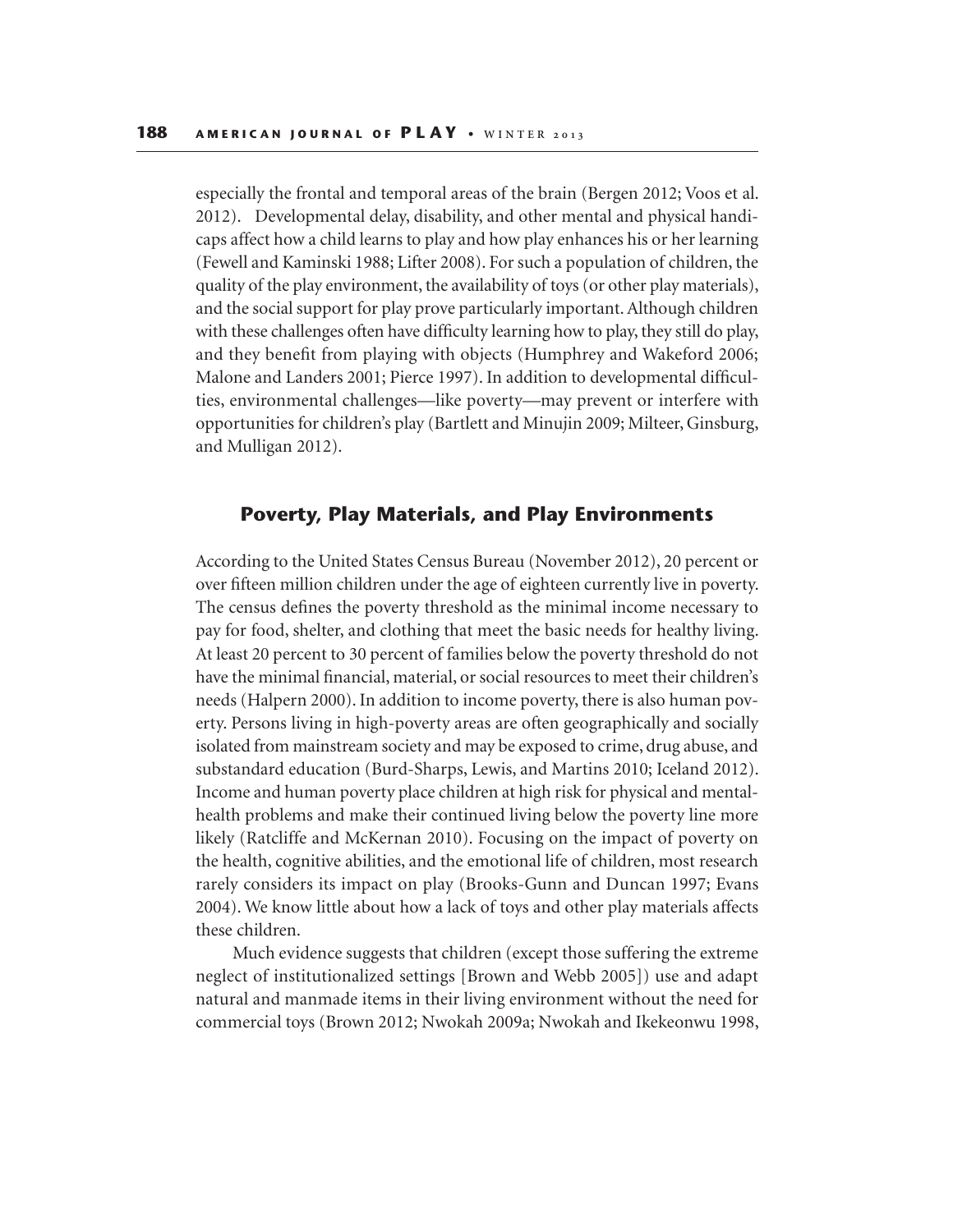especially the frontal and temporal areas of the brain (Bergen 2012; Voos et al. 2012). Developmental delay, disability, and other mental and physical handicaps affect how a child learns to play and how play enhances his or her learning (Fewell and Kaminski 1988; Lifter 2008). For such a population of children, the quality of the play environment, the availability of toys (or other play materials), and the social support for play prove particularly important. Although children with these challenges often have difficulty learning how to play, they still do play, and they benefit from playing with objects (Humphrey and Wakeford 2006; Malone and Landers 2001; Pierce 1997). In addition to developmental difficulties, environmental challenges—like poverty—may prevent or interfere with opportunities for children's play (Bartlett and Minujin 2009; Milteer, Ginsburg, and Mulligan 2012).

# **Poverty, Play Materials, and Play Environments**

According to the United States Census Bureau (November 2012), 20 percent or over fifteen million children under the age of eighteen currently live in poverty. The census defines the poverty threshold as the minimal income necessary to pay for food, shelter, and clothing that meet the basic needs for healthy living. At least 20 percent to 30 percent of families below the poverty threshold do not have the minimal financial, material, or social resources to meet their children's needs (Halpern 2000). In addition to income poverty, there is also human poverty. Persons living in high-poverty areas are often geographically and socially isolated from mainstream society and may be exposed to crime, drug abuse, and substandard education (Burd-Sharps, Lewis, and Martins 2010; Iceland 2012). Income and human poverty place children at high risk for physical and mentalhealth problems and make their continued living below the poverty line more likely (Ratcliffe and McKernan 2010). Focusing on the impact of poverty on the health, cognitive abilities, and the emotional life of children, most research rarely considers its impact on play (Brooks-Gunn and Duncan 1997; Evans 2004). We know little about how a lack of toys and other play materials affects these children.

Much evidence suggests that children (except those suffering the extreme neglect of institutionalized settings [Brown and Webb 2005]) use and adapt natural and manmade items in their living environment without the need for commercial toys (Brown 2012; Nwokah 2009a; Nwokah and Ikekeonwu 1998,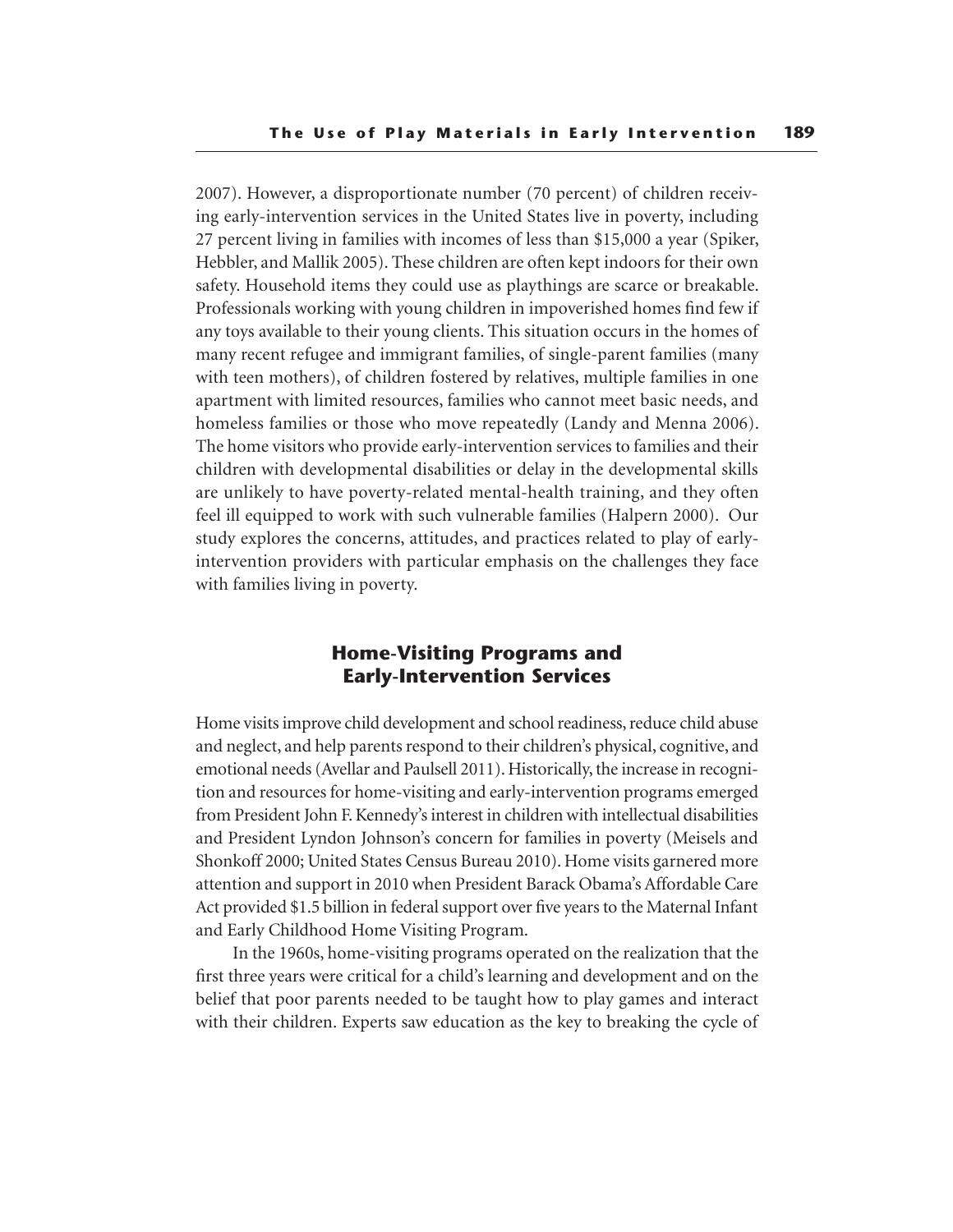2007). However, a disproportionate number (70 percent) of children receiving early-intervention services in the United States live in poverty, including 27 percent living in families with incomes of less than \$15,000 a year (Spiker, Hebbler, and Mallik 2005). These children are often kept indoors for their own safety. Household items they could use as playthings are scarce or breakable. Professionals working with young children in impoverished homes find few if any toys available to their young clients. This situation occurs in the homes of many recent refugee and immigrant families, of single-parent families (many with teen mothers), of children fostered by relatives, multiple families in one apartment with limited resources, families who cannot meet basic needs, and homeless families or those who move repeatedly (Landy and Menna 2006). The home visitors who provide early-intervention services to families and their children with developmental disabilities or delay in the developmental skills are unlikely to have poverty-related mental-health training, and they often feel ill equipped to work with such vulnerable families (Halpern 2000). Our study explores the concerns, attitudes, and practices related to play of earlyintervention providers with particular emphasis on the challenges they face with families living in poverty.

# **Home-Visiting Programs and Early-Intervention Services**

Home visits improve child development and school readiness, reduce child abuse and neglect, and help parents respond to their children's physical, cognitive, and emotional needs (Avellar and Paulsell 2011). Historically, the increase in recognition and resources for home-visiting and early-intervention programs emerged from President John F. Kennedy's interest in children with intellectual disabilities and President Lyndon Johnson's concern for families in poverty (Meisels and Shonkoff 2000; United States Census Bureau 2010). Home visits garnered more attention and support in 2010 when President Barack Obama's Affordable Care Act provided \$1.5 billion in federal support over five years to the Maternal Infant and Early Childhood Home Visiting Program.

In the 1960s, home-visiting programs operated on the realization that the first three years were critical for a child's learning and development and on the belief that poor parents needed to be taught how to play games and interact with their children. Experts saw education as the key to breaking the cycle of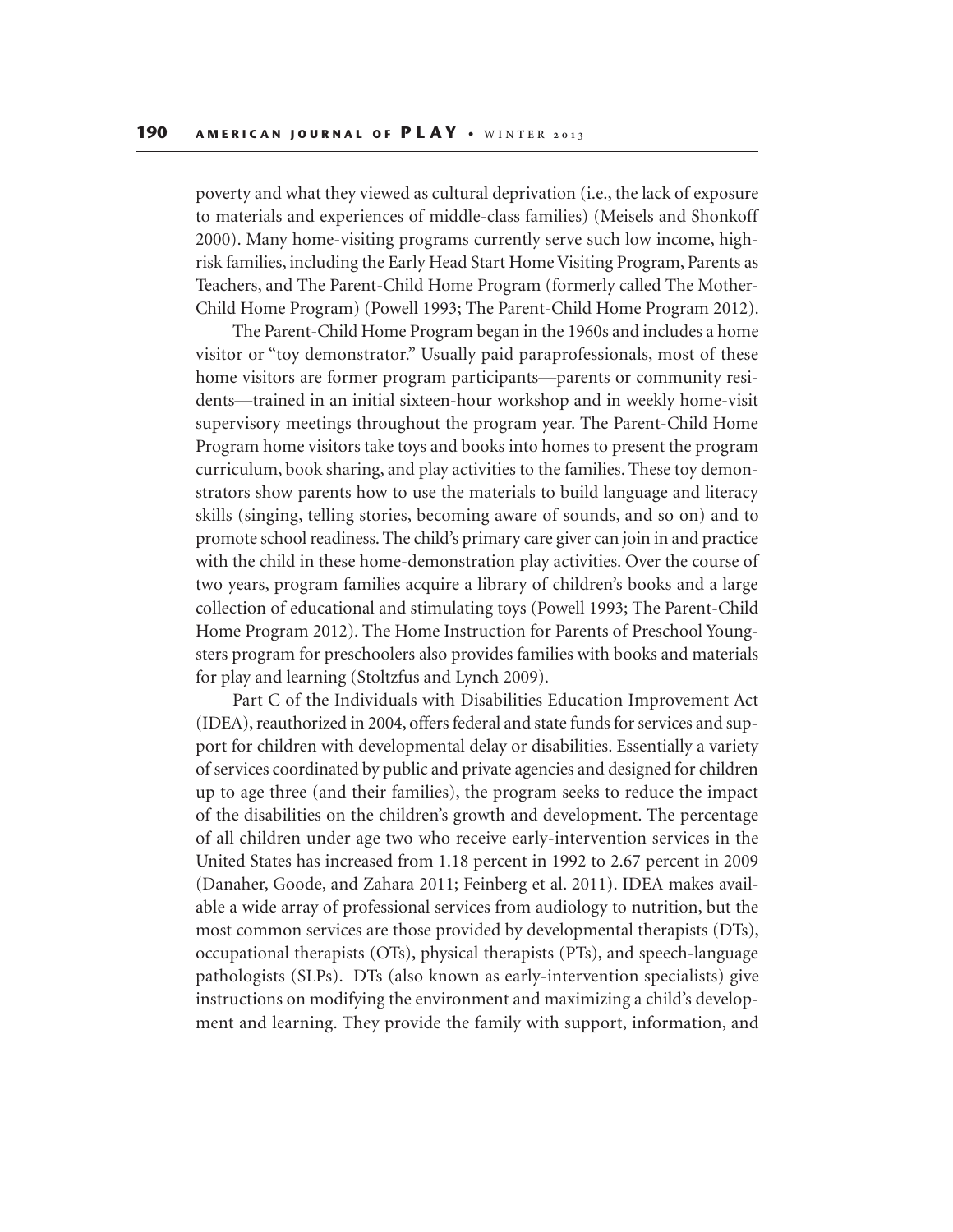poverty and what they viewed as cultural deprivation (i.e., the lack of exposure to materials and experiences of middle-class families) (Meisels and Shonkoff 2000). Many home-visiting programs currently serve such low income, highrisk families, including the Early Head Start Home Visiting Program, Parents as Teachers, and The Parent-Child Home Program (formerly called The Mother-Child Home Program) (Powell 1993; The Parent-Child Home Program 2012).

The Parent-Child Home Program began in the 1960s and includes a home visitor or "toy demonstrator." Usually paid paraprofessionals, most of these home visitors are former program participants—parents or community residents—trained in an initial sixteen-hour workshop and in weekly home-visit supervisory meetings throughout the program year. The Parent-Child Home Program home visitors take toys and books into homes to present the program curriculum, book sharing, and play activities to the families. These toy demonstrators show parents how to use the materials to build language and literacy skills (singing, telling stories, becoming aware of sounds, and so on) and to promote school readiness. The child's primary care giver can join in and practice with the child in these home-demonstration play activities. Over the course of two years, program families acquire a library of children's books and a large collection of educational and stimulating toys (Powell 1993; The Parent-Child Home Program 2012). The Home Instruction for Parents of Preschool Youngsters program for preschoolers also provides families with books and materials for play and learning (Stoltzfus and Lynch 2009).

Part C of the Individuals with Disabilities Education Improvement Act (IDEA), reauthorized in 2004, offers federal and state funds for services and support for children with developmental delay or disabilities. Essentially a variety of services coordinated by public and private agencies and designed for children up to age three (and their families), the program seeks to reduce the impact of the disabilities on the children's growth and development. The percentage of all children under age two who receive early-intervention services in the United States has increased from 1.18 percent in 1992 to 2.67 percent in 2009 (Danaher, Goode, and Zahara 2011; Feinberg et al. 2011). IDEA makes available a wide array of professional services from audiology to nutrition, but the most common services are those provided by developmental therapists (DTs), occupational therapists (OTs), physical therapists (PTs), and speech-language pathologists (SLPs). DTs (also known as early-intervention specialists) give instructions on modifying the environment and maximizing a child's development and learning. They provide the family with support, information, and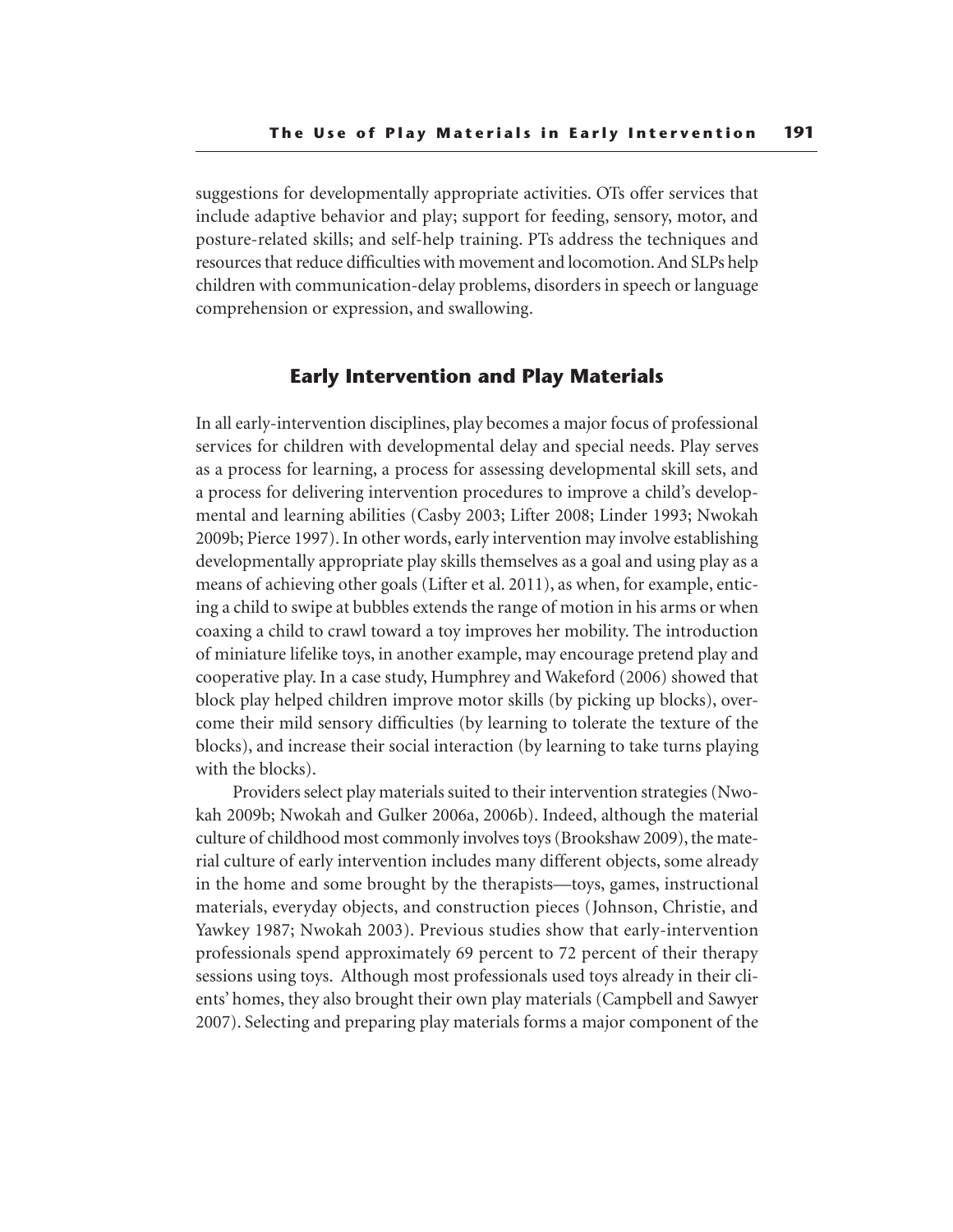suggestions for developmentally appropriate activities. OTs offer services that include adaptive behavior and play; support for feeding, sensory, motor, and posture-related skills; and self-help training. PTs address the techniques and resources that reduce difficulties with movement and locomotion. And SLPs help children with communication-delay problems, disorders in speech or language comprehension or expression, and swallowing.

# **Early Intervention and Play Materials**

In all early-intervention disciplines, play becomes a major focus of professional services for children with developmental delay and special needs. Play serves as a process for learning, a process for assessing developmental skill sets, and a process for delivering intervention procedures to improve a child's developmental and learning abilities (Casby 2003; Lifter 2008; Linder 1993; Nwokah 2009b; Pierce 1997). In other words, early intervention may involve establishing developmentally appropriate play skills themselves as a goal and using play as a means of achieving other goals (Lifter et al. 2011), as when, for example, enticing a child to swipe at bubbles extends the range of motion in his arms or when coaxing a child to crawl toward a toy improves her mobility. The introduction of miniature lifelike toys, in another example, may encourage pretend play and cooperative play. In a case study, Humphrey and Wakeford (2006) showed that block play helped children improve motor skills (by picking up blocks), overcome their mild sensory difficulties (by learning to tolerate the texture of the blocks), and increase their social interaction (by learning to take turns playing with the blocks).

Providers select play materials suited to their intervention strategies (Nwokah 2009b; Nwokah and Gulker 2006a, 2006b). Indeed, although the material culture of childhood most commonly involves toys (Brookshaw 2009), the material culture of early intervention includes many different objects, some already in the home and some brought by the therapists—toys, games, instructional materials, everyday objects, and construction pieces (Johnson, Christie, and Yawkey 1987; Nwokah 2003). Previous studies show that early-intervention professionals spend approximately 69 percent to 72 percent of their therapy sessions using toys. Although most professionals used toys already in their clients' homes, they also brought their own play materials (Campbell and Sawyer 2007). Selecting and preparing play materials forms a major component of the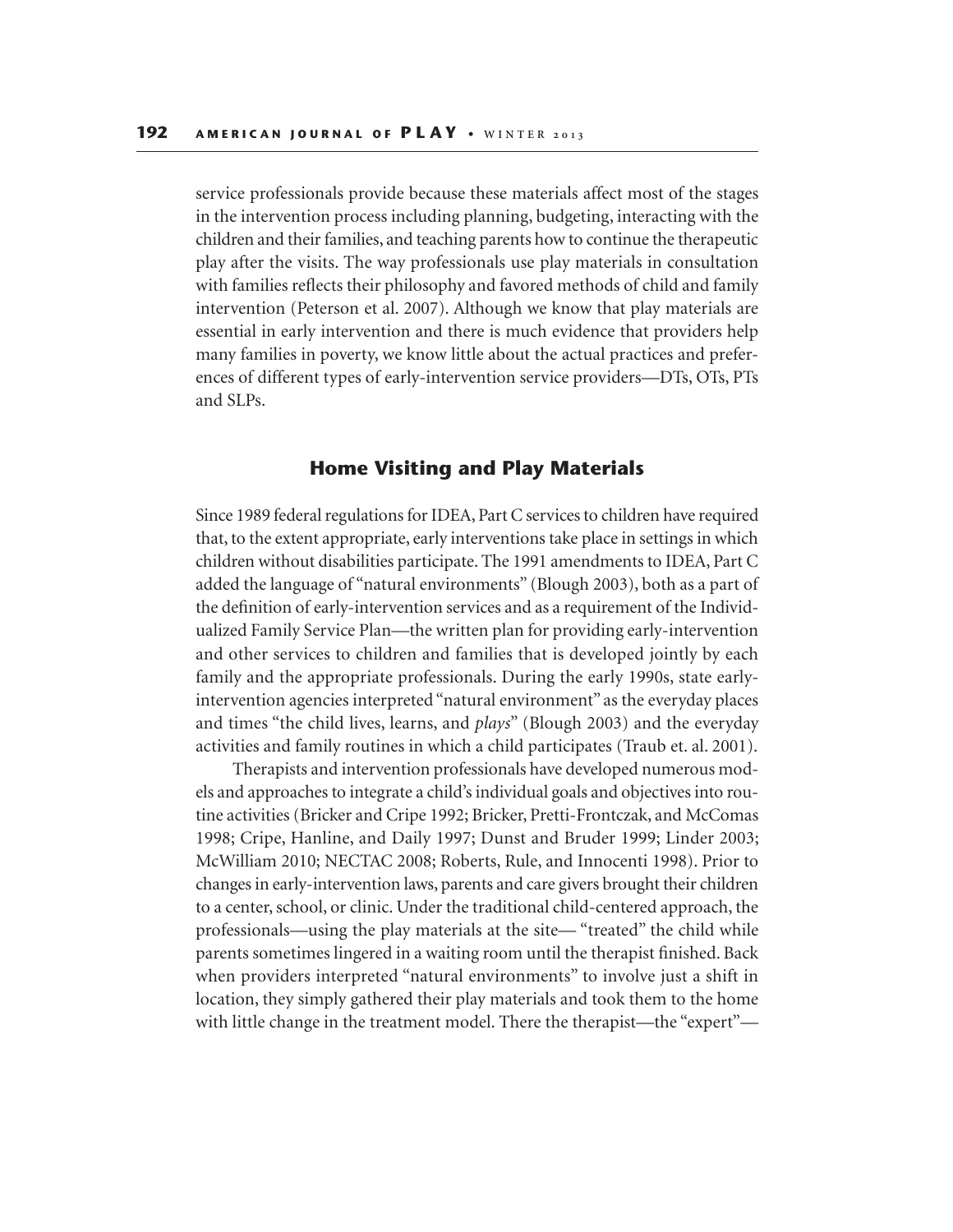service professionals provide because these materials affect most of the stages in the intervention process including planning, budgeting, interacting with the children and their families, and teaching parents how to continue the therapeutic play after the visits. The way professionals use play materials in consultation with families reflects their philosophy and favored methods of child and family intervention (Peterson et al. 2007). Although we know that play materials are essential in early intervention and there is much evidence that providers help many families in poverty, we know little about the actual practices and preferences of different types of early-intervention service providers—DTs, OTs, PTs and SLPs.

# **Home Visiting and Play Materials**

Since 1989 federal regulations for IDEA, Part C services to children have required that, to the extent appropriate, early interventions take place in settings in which children without disabilities participate. The 1991 amendments to IDEA, Part C added the language of "natural environments" (Blough 2003), both as a part of the definition of early-intervention services and as a requirement of the Individualized Family Service Plan—the written plan for providing early-intervention and other services to children and families that is developed jointly by each family and the appropriate professionals. During the early 1990s, state earlyintervention agencies interpreted "natural environment" as the everyday places and times "the child lives, learns, and *plays*" (Blough 2003) and the everyday activities and family routines in which a child participates (Traub et. al. 2001).

Therapists and intervention professionals have developed numerous models and approaches to integrate a child's individual goals and objectives into routine activities (Bricker and Cripe 1992; Bricker, Pretti-Frontczak, and McComas 1998; Cripe, Hanline, and Daily 1997; Dunst and Bruder 1999; Linder 2003; McWilliam 2010; NECTAC 2008; Roberts, Rule, and Innocenti 1998). Prior to changes in early-intervention laws, parents and care givers brought their children to a center, school, or clinic. Under the traditional child-centered approach, the professionals—using the play materials at the site— "treated" the child while parents sometimes lingered in a waiting room until the therapist finished. Back when providers interpreted "natural environments" to involve just a shift in location, they simply gathered their play materials and took them to the home with little change in the treatment model. There the therapist—the "expert"—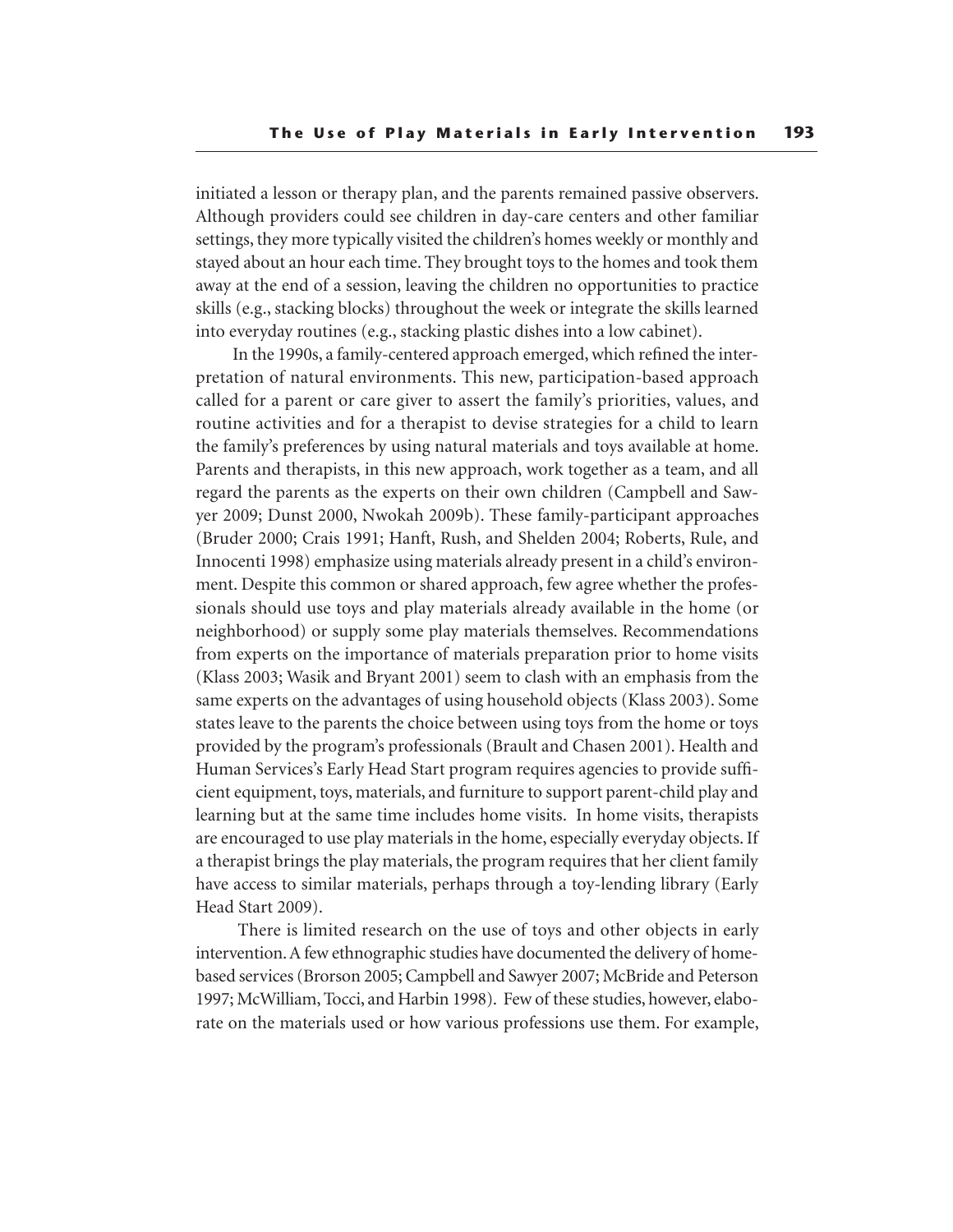initiated a lesson or therapy plan, and the parents remained passive observers. Although providers could see children in day-care centers and other familiar settings, they more typically visited the children's homes weekly or monthly and stayed about an hour each time. They brought toys to the homes and took them away at the end of a session, leaving the children no opportunities to practice skills (e.g., stacking blocks) throughout the week or integrate the skills learned into everyday routines (e.g., stacking plastic dishes into a low cabinet).

In the 1990s, a family-centered approach emerged, which refined the interpretation of natural environments. This new, participation-based approach called for a parent or care giver to assert the family's priorities, values, and routine activities and for a therapist to devise strategies for a child to learn the family's preferences by using natural materials and toys available at home. Parents and therapists, in this new approach, work together as a team, and all regard the parents as the experts on their own children (Campbell and Sawyer 2009; Dunst 2000, Nwokah 2009b). These family-participant approaches (Bruder 2000; Crais 1991; Hanft, Rush, and Shelden 2004; Roberts, Rule, and Innocenti 1998) emphasize using materials already present in a child's environment. Despite this common or shared approach, few agree whether the professionals should use toys and play materials already available in the home (or neighborhood) or supply some play materials themselves. Recommendations from experts on the importance of materials preparation prior to home visits (Klass 2003; Wasik and Bryant 2001) seem to clash with an emphasis from the same experts on the advantages of using household objects (Klass 2003). Some states leave to the parents the choice between using toys from the home or toys provided by the program's professionals (Brault and Chasen 2001). Health and Human Services's Early Head Start program requires agencies to provide sufficient equipment, toys, materials, and furniture to support parent-child play and learning but at the same time includes home visits. In home visits, therapists are encouraged to use play materials in the home, especially everyday objects. If a therapist brings the play materials, the program requires that her client family have access to similar materials, perhaps through a toy-lending library (Early Head Start 2009).

 There is limited research on the use of toys and other objects in early intervention. A few ethnographic studies have documented the delivery of homebased services (Brorson 2005; Campbell and Sawyer 2007; McBride and Peterson 1997; McWilliam, Tocci, and Harbin 1998). Few of these studies, however, elaborate on the materials used or how various professions use them. For example,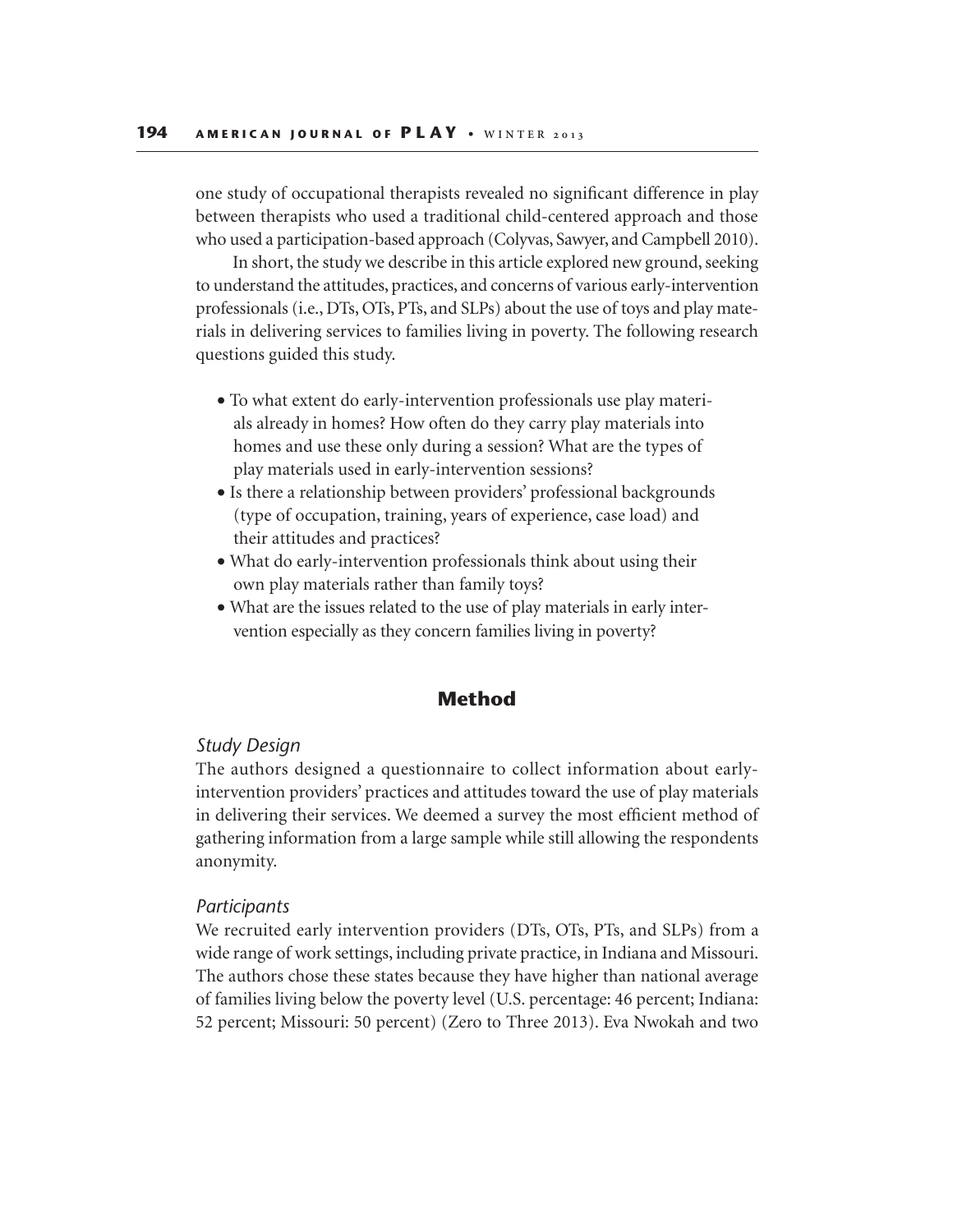one study of occupational therapists revealed no significant difference in play between therapists who used a traditional child-centered approach and those who used a participation-based approach (Colyvas, Sawyer, and Campbell 2010).

In short, the study we describe in this article explored new ground, seeking to understand the attitudes, practices, and concerns of various early-intervention professionals (i.e., DTs, OTs, PTs, and SLPs) about the use of toys and play materials in delivering services to families living in poverty. The following research questions guided this study.

- To what extent do early-intervention professionals use play materials already in homes? How often do they carry play materials into homes and use these only during a session? What are the types of play materials used in early-intervention sessions?
- Is there a relationship between providers' professional backgrounds (type of occupation, training, years of experience, case load) and their attitudes and practices?
- What do early-intervention professionals think about using their own play materials rather than family toys?
- What are the issues related to the use of play materials in early intervention especially as they concern families living in poverty?

# **Method**

## *Study Design*

The authors designed a questionnaire to collect information about earlyintervention providers' practices and attitudes toward the use of play materials in delivering their services. We deemed a survey the most efficient method of gathering information from a large sample while still allowing the respondents anonymity.

#### *Participants*

We recruited early intervention providers (DTs, OTs, PTs, and SLPs) from a wide range of work settings, including private practice, in Indiana and Missouri. The authors chose these states because they have higher than national average of families living below the poverty level (U.S. percentage: 46 percent; Indiana: 52 percent; Missouri: 50 percent) (Zero to Three 2013). Eva Nwokah and two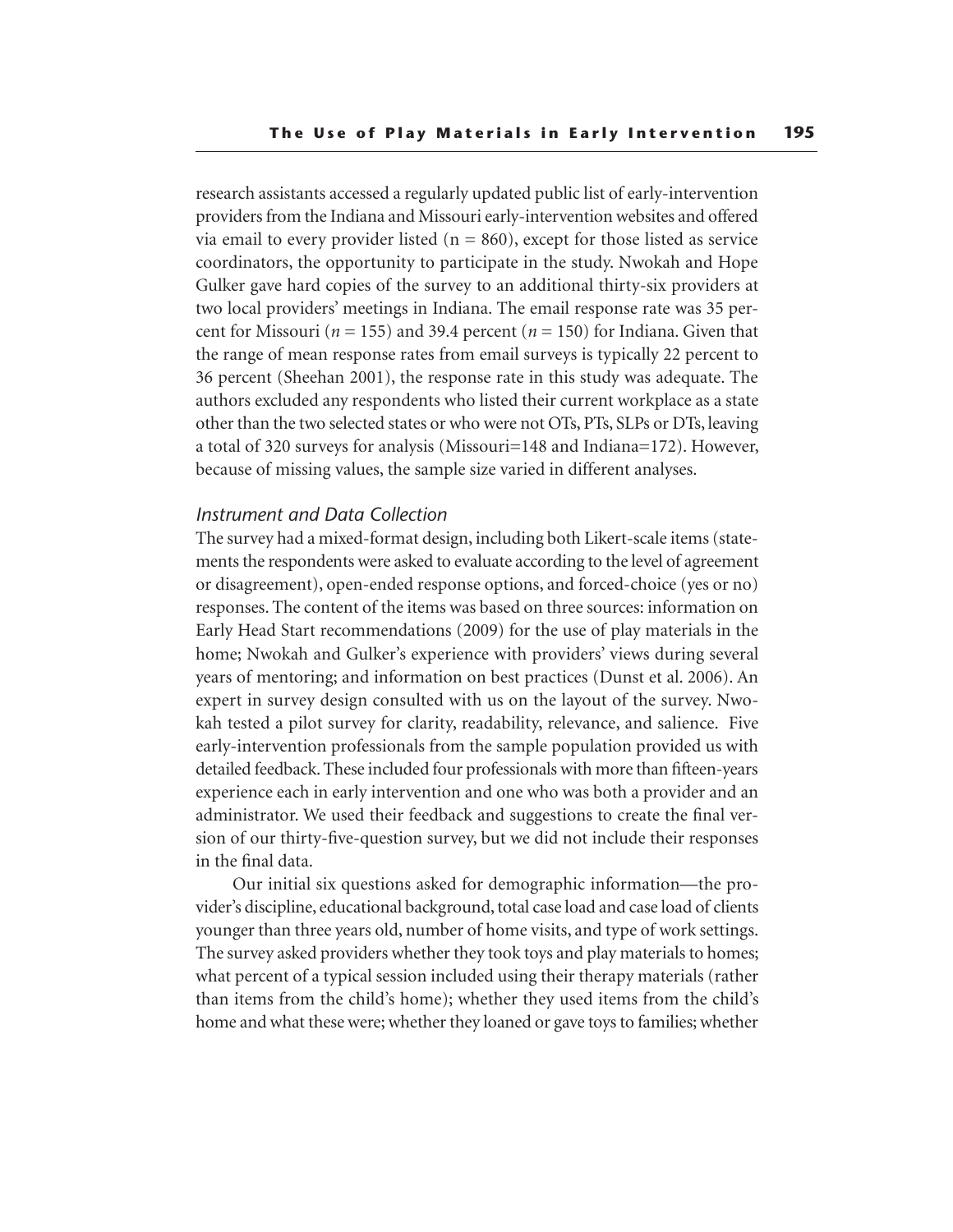research assistants accessed a regularly updated public list of early-intervention providers from the Indiana and Missouri early-intervention websites and offered via email to every provider listed  $(n = 860)$ , except for those listed as service coordinators, the opportunity to participate in the study. Nwokah and Hope Gulker gave hard copies of the survey to an additional thirty-six providers at two local providers' meetings in Indiana. The email response rate was 35 percent for Missouri ( $n = 155$ ) and 39.4 percent ( $n = 150$ ) for Indiana. Given that the range of mean response rates from email surveys is typically 22 percent to 36 percent (Sheehan 2001), the response rate in this study was adequate. The authors excluded any respondents who listed their current workplace as a state other than the two selected states or who were not OTs, PTs, SLPs or DTs, leaving a total of 320 surveys for analysis (Missouri=148 and Indiana=172). However, because of missing values, the sample size varied in different analyses.

## *Instrument and Data Collection*

The survey had a mixed-format design, including both Likert-scale items (statements the respondents were asked to evaluate according to the level of agreement or disagreement), open-ended response options, and forced-choice (yes or no) responses. The content of the items was based on three sources: information on Early Head Start recommendations (2009) for the use of play materials in the home; Nwokah and Gulker's experience with providers' views during several years of mentoring; and information on best practices (Dunst et al. 2006). An expert in survey design consulted with us on the layout of the survey. Nwokah tested a pilot survey for clarity, readability, relevance, and salience. Five early-intervention professionals from the sample population provided us with detailed feedback. These included four professionals with more than fifteen-years experience each in early intervention and one who was both a provider and an administrator. We used their feedback and suggestions to create the final version of our thirty-five-question survey, but we did not include their responses in the final data.

Our initial six questions asked for demographic information—the provider's discipline, educational background, total case load and case load of clients younger than three years old, number of home visits, and type of work settings. The survey asked providers whether they took toys and play materials to homes; what percent of a typical session included using their therapy materials (rather than items from the child's home); whether they used items from the child's home and what these were; whether they loaned or gave toys to families; whether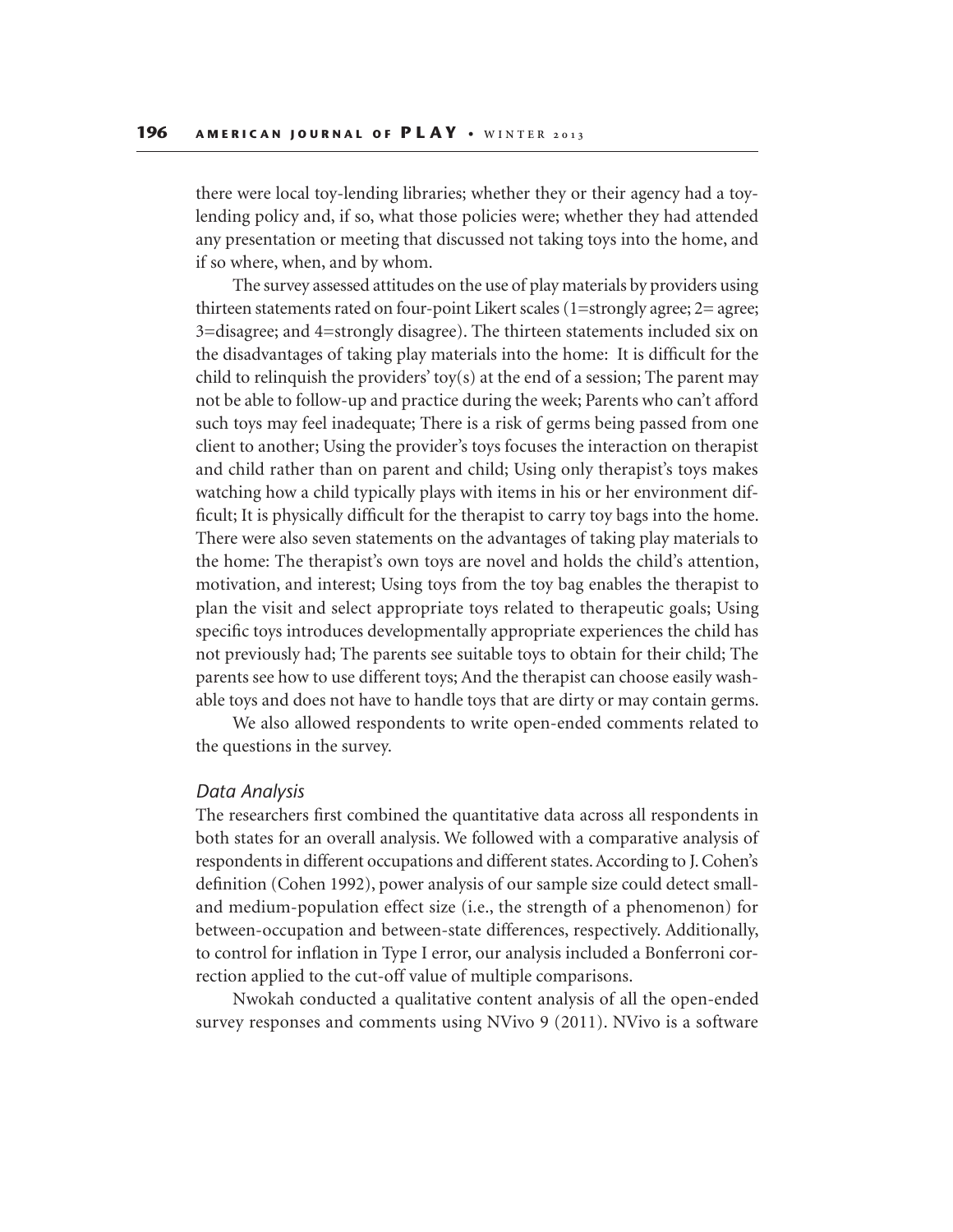there were local toy-lending libraries; whether they or their agency had a toylending policy and, if so, what those policies were; whether they had attended any presentation or meeting that discussed not taking toys into the home, and if so where, when, and by whom.

The survey assessed attitudes on the use of play materials by providers using thirteen statements rated on four-point Likert scales (1=strongly agree; 2= agree; 3=disagree; and 4=strongly disagree). The thirteen statements included six on the disadvantages of taking play materials into the home: It is difficult for the child to relinquish the providers' toy(s) at the end of a session; The parent may not be able to follow-up and practice during the week; Parents who can't afford such toys may feel inadequate; There is a risk of germs being passed from one client to another; Using the provider's toys focuses the interaction on therapist and child rather than on parent and child; Using only therapist's toys makes watching how a child typically plays with items in his or her environment difficult; It is physically difficult for the therapist to carry toy bags into the home. There were also seven statements on the advantages of taking play materials to the home: The therapist's own toys are novel and holds the child's attention, motivation, and interest; Using toys from the toy bag enables the therapist to plan the visit and select appropriate toys related to therapeutic goals; Using specific toys introduces developmentally appropriate experiences the child has not previously had; The parents see suitable toys to obtain for their child; The parents see how to use different toys; And the therapist can choose easily washable toys and does not have to handle toys that are dirty or may contain germs.

We also allowed respondents to write open-ended comments related to the questions in the survey.

## *Data Analysis*

The researchers first combined the quantitative data across all respondents in both states for an overall analysis. We followed with a comparative analysis of respondents in different occupations and different states. According to J. Cohen's definition (Cohen 1992), power analysis of our sample size could detect smalland medium-population effect size (i.e., the strength of a phenomenon) for between-occupation and between-state differences, respectively. Additionally, to control for inflation in Type I error, our analysis included a Bonferroni correction applied to the cut-off value of multiple comparisons.

Nwokah conducted a qualitative content analysis of all the open-ended survey responses and comments using NVivo 9 (2011). NVivo is a software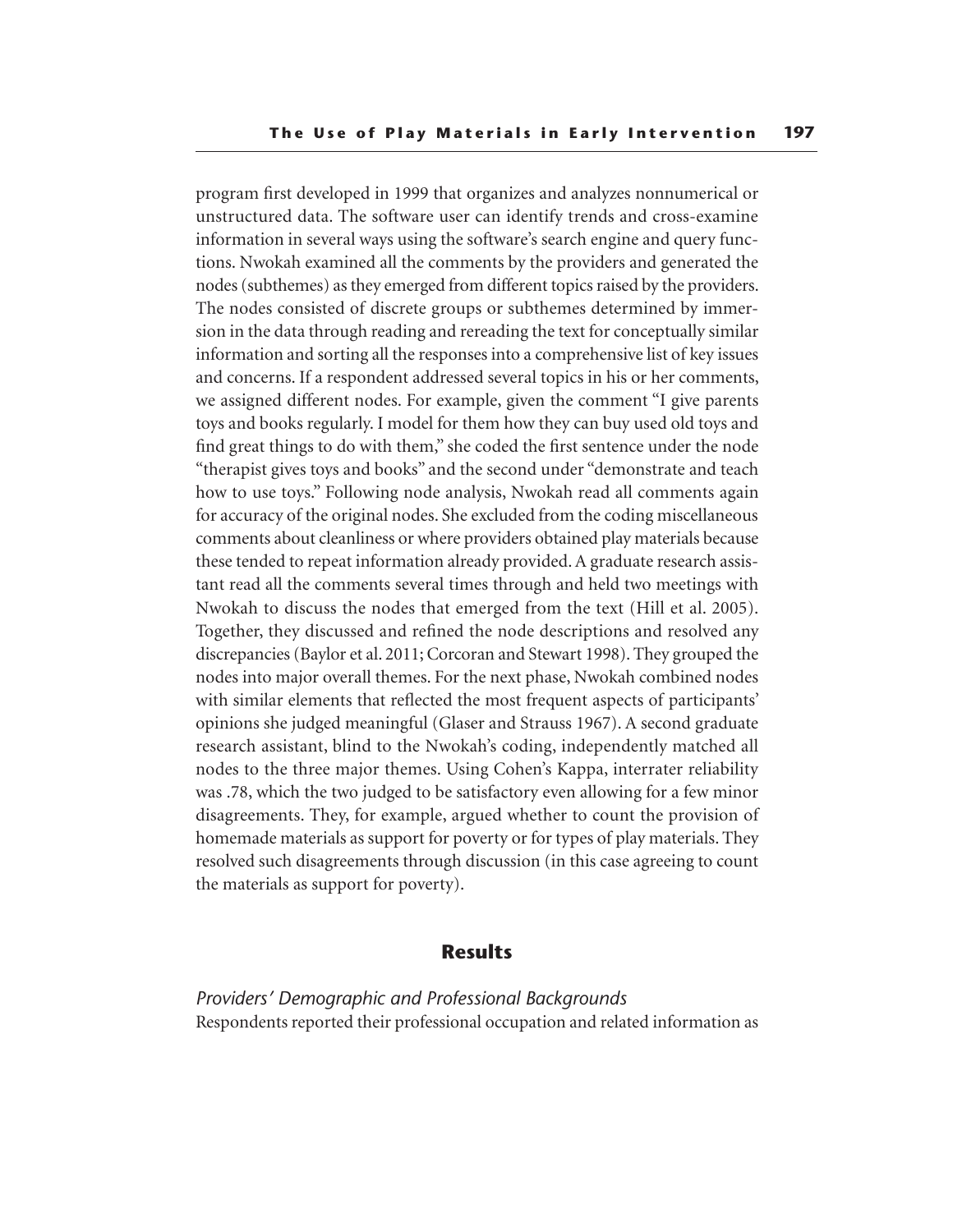program first developed in 1999 that organizes and analyzes nonnumerical or unstructured data. The software user can identify trends and cross-examine information in several ways using the software's search engine and query functions. Nwokah examined all the comments by the providers and generated the nodes (subthemes) as they emerged from different topics raised by the providers. The nodes consisted of discrete groups or subthemes determined by immersion in the data through reading and rereading the text for conceptually similar information and sorting all the responses into a comprehensive list of key issues and concerns. If a respondent addressed several topics in his or her comments, we assigned different nodes. For example, given the comment "I give parents toys and books regularly. I model for them how they can buy used old toys and find great things to do with them," she coded the first sentence under the node "therapist gives toys and books" and the second under "demonstrate and teach how to use toys." Following node analysis, Nwokah read all comments again for accuracy of the original nodes. She excluded from the coding miscellaneous comments about cleanliness or where providers obtained play materials because these tended to repeat information already provided. A graduate research assistant read all the comments several times through and held two meetings with Nwokah to discuss the nodes that emerged from the text (Hill et al. 2005). Together, they discussed and refined the node descriptions and resolved any discrepancies (Baylor et al. 2011; Corcoran and Stewart 1998). They grouped the nodes into major overall themes. For the next phase, Nwokah combined nodes with similar elements that reflected the most frequent aspects of participants' opinions she judged meaningful (Glaser and Strauss 1967). A second graduate research assistant, blind to the Nwokah's coding, independently matched all nodes to the three major themes. Using Cohen's Kappa, interrater reliability was .78, which the two judged to be satisfactory even allowing for a few minor disagreements. They, for example, argued whether to count the provision of homemade materials as support for poverty or for types of play materials. They resolved such disagreements through discussion (in this case agreeing to count the materials as support for poverty).

# **Results**

*Providers' Demographic and Professional Backgrounds* Respondents reported their professional occupation and related information as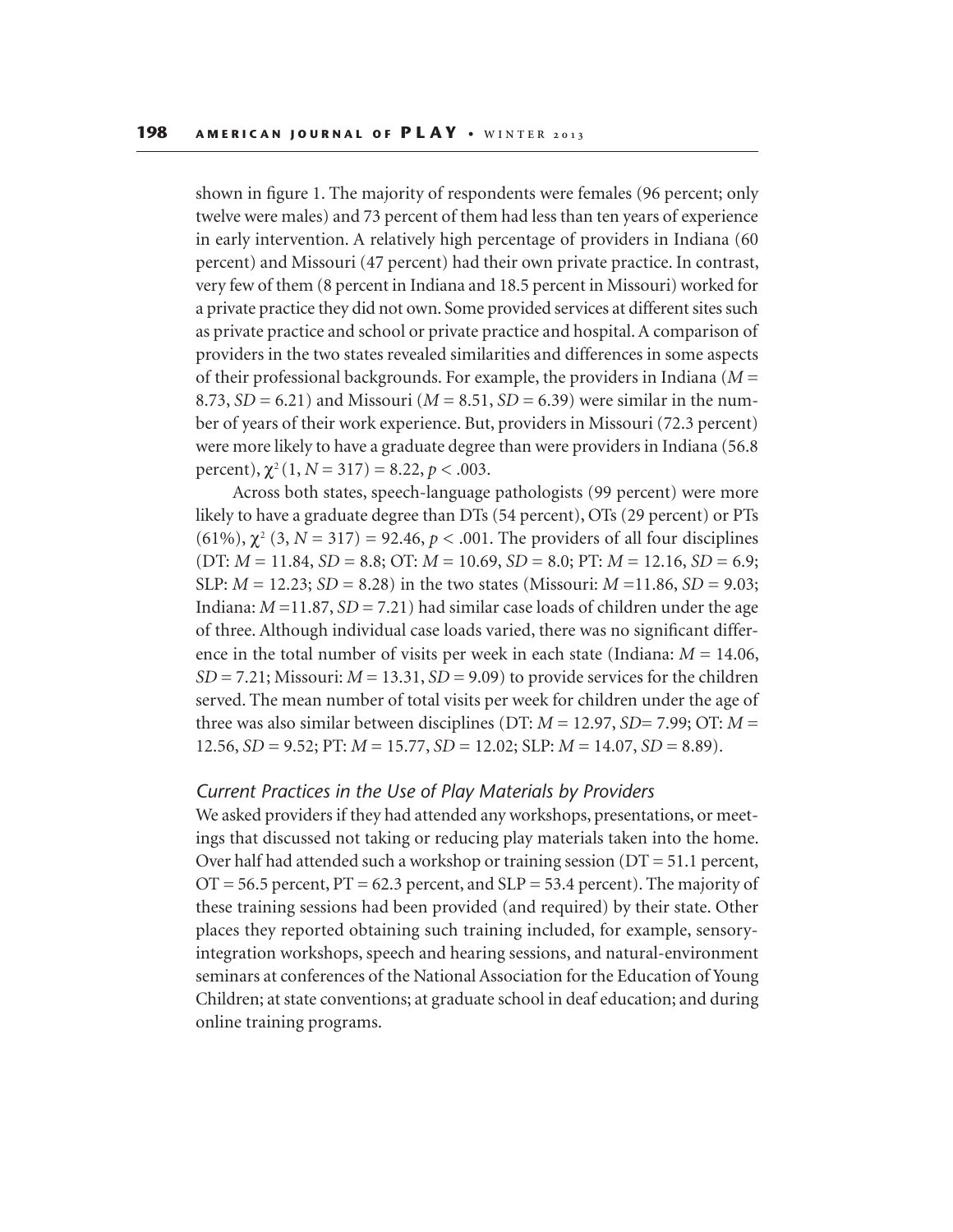shown in figure 1. The majority of respondents were females (96 percent; only twelve were males) and 73 percent of them had less than ten years of experience in early intervention. A relatively high percentage of providers in Indiana (60 percent) and Missouri (47 percent) had their own private practice. In contrast, very few of them (8 percent in Indiana and 18.5 percent in Missouri) worked for a private practice they did not own. Some provided services at different sites such as private practice and school or private practice and hospital. A comparison of providers in the two states revealed similarities and differences in some aspects of their professional backgrounds. For example, the providers in Indiana (*M* = 8.73,  $SD = 6.21$ ) and Missouri ( $M = 8.51$ ,  $SD = 6.39$ ) were similar in the number of years of their work experience. But, providers in Missouri (72.3 percent) were more likely to have a graduate degree than were providers in Indiana (56.8 percent),  $\chi^2(1, N = 317) = 8.22, p < .003$ .

Across both states, speech-language pathologists (99 percent) were more likely to have a graduate degree than DTs (54 percent), OTs (29 percent) or PTs (61%),  $\chi^2$  (3, *N* = 317) = 92.46, *p* < .001. The providers of all four disciplines  $(DT: M = 11.84, SD = 8.8; OT: M = 10.69, SD = 8.0; PT: M = 12.16, SD = 6.9;$ SLP: *M* = 12.23; *SD* = 8.28) in the two states (Missouri: *M* =11.86, *SD* = 9.03; Indiana:  $M = 11.87$ ,  $SD = 7.21$ ) had similar case loads of children under the age of three. Although individual case loads varied, there was no significant difference in the total number of visits per week in each state (Indiana:  $M = 14.06$ , *SD* = 7.21; Missouri: *M* = 13.31, *SD* = 9.09) to provide services for the children served. The mean number of total visits per week for children under the age of three was also similar between disciplines (DT: *M* = 12.97, *SD*= 7.99; OT: *M* = 12.56, *SD* = 9.52; PT: *M* = 15.77, *SD* = 12.02; SLP: *M* = 14.07, *SD* = 8.89).

## *Current Practices in the Use of Play Materials by Providers*

We asked providers if they had attended any workshops, presentations, or meetings that discussed not taking or reducing play materials taken into the home. Over half had attended such a workshop or training session ( $DT = 51.1$  percent,  $OT = 56.5$  percent,  $PT = 62.3$  percent, and  $SLP = 53.4$  percent). The majority of these training sessions had been provided (and required) by their state. Other places they reported obtaining such training included, for example, sensoryintegration workshops, speech and hearing sessions, and natural-environment seminars at conferences of the National Association for the Education of Young Children; at state conventions; at graduate school in deaf education; and during online training programs.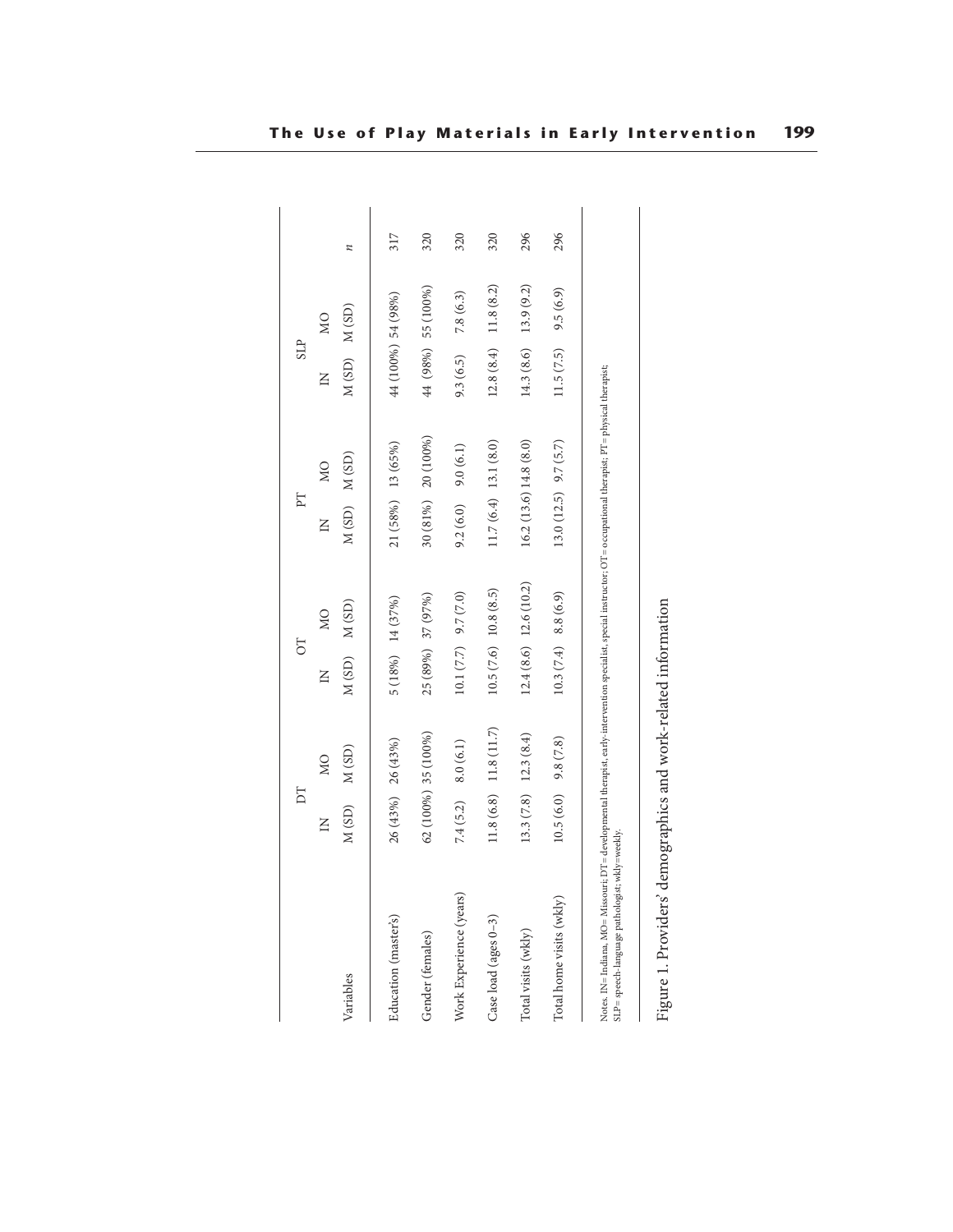|                                                                                                                                                                                                                          | E                        |                                           | 50                   |                         | E                       |                | <b>SLP</b>      |                    |     |
|--------------------------------------------------------------------------------------------------------------------------------------------------------------------------------------------------------------------------|--------------------------|-------------------------------------------|----------------------|-------------------------|-------------------------|----------------|-----------------|--------------------|-----|
|                                                                                                                                                                                                                          | $\Xi$                    | $\overline{M}$                            | $\mathsf{K}$         | $\overline{M}$          | $\Xi$                   | $\overline{M}$ | $\overline{z}$  | $\overline{M}$     |     |
| Variables                                                                                                                                                                                                                | M(SD)                    | M(SD)                                     | $M(SD)$ $M(SD)$      |                         | $M(SD)$ $M(SD)$         |                | $M(SD)$ $M(SD)$ |                    | z   |
| Education (master's)                                                                                                                                                                                                     | $26(43%)$ $26(43%)$      |                                           | 5 (18%) 14 (37%)     |                         | 21 (58%) 13 (65%)       |                |                 | 44 (100%) 54 (98%) | 317 |
| Gender (females)                                                                                                                                                                                                         | $62(100\%)$ 35 $(100\%)$ |                                           | 25 (89%) 37 (97%)    |                         | 30 (81%)                | 20 (100%)      |                 | 44 (98%) 55 (100%) | 320 |
| Work Experience (years)                                                                                                                                                                                                  | 7.4(5.2)                 | 8.0(6.1)                                  | 10.1 (7.7) 9.7 (7.0) |                         | 9.2(6.0)                | 9.0(6.1)       | 9.3(6.5)        | 7.8(6.3)           | 320 |
| Case load (ages 0-3)                                                                                                                                                                                                     |                          | $11.8(6.8)$ 11.8 (11.7)                   |                      | 10.5(7.6) 10.8(8.5)     | $11.7(6.4)$ 13.1 (8.0)  |                | 12.8(8.4)       | 11.8(8.2)          | 320 |
| Total visits (wkly)                                                                                                                                                                                                      |                          | $13.3(7.8)$ $12.3(8.4)$                   |                      | $12.4(8.6)$ 12.6 (10.2) | $16.2(13.6)$ 14.8 (8.0) |                | 14.3(8.6)       | 13.9(9.2)          | 296 |
| Total home visits (wkly)                                                                                                                                                                                                 | 10.5(6.0)                | 9.8(7.8)                                  | 10.3(7.4) 8.8(6.9)   |                         | $13.0(12.5)$ $9.7(5.7)$ |                | 11.5(7.5)       | 9.5(6.9)           | 296 |
| Notes. IN= Indiana, MO= Missouri; DT= developmental therapist, early-intervention specialist, special instructor; OT= occupational therapist; PT= physical therapist;<br>SLP = speech-language pathologist; wkly=weekly. |                          |                                           |                      |                         |                         |                |                 |                    |     |
| Figure 1. Providers'                                                                                                                                                                                                     |                          | demographics and work-related information |                      |                         |                         |                |                 |                    |     |

| i                    |
|----------------------|
|                      |
|                      |
|                      |
|                      |
|                      |
|                      |
|                      |
|                      |
|                      |
|                      |
| '<br>י<br>l          |
|                      |
| ı                    |
|                      |
|                      |
|                      |
|                      |
|                      |
| )<br>1               |
|                      |
| $\sim$ 10.100 $\sim$ |
|                      |
|                      |
| i                    |
|                      |
| ı                    |
|                      |
|                      |
|                      |
| is a cuid            |
|                      |
|                      |
|                      |
|                      |
|                      |
| くうくて                 |
|                      |
|                      |
|                      |
|                      |
|                      |
|                      |
|                      |
|                      |
|                      |
|                      |
|                      |
|                      |
|                      |
| ł                    |
|                      |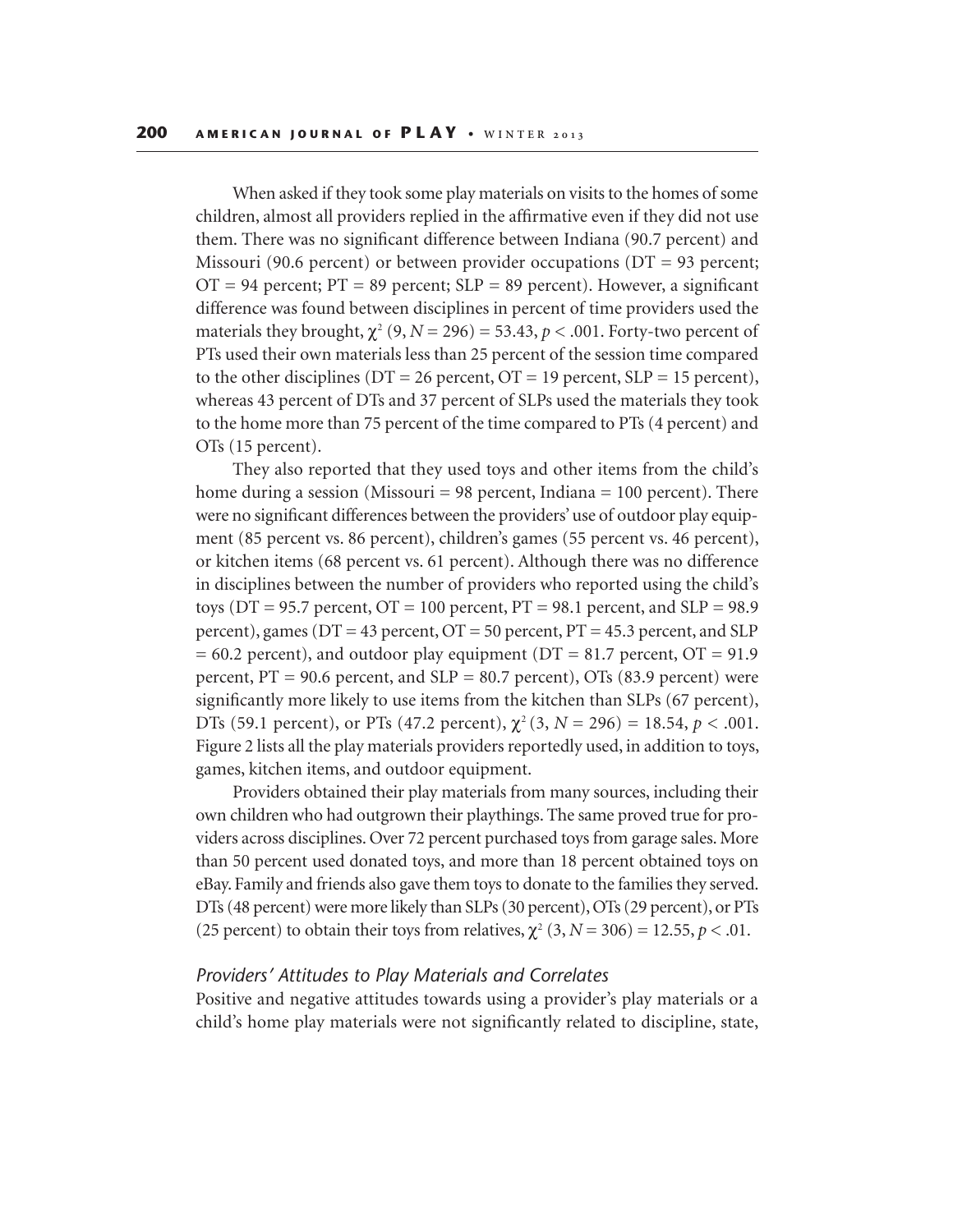When asked if they took some play materials on visits to the homes of some children, almost all providers replied in the affirmative even if they did not use them. There was no significant difference between Indiana (90.7 percent) and Missouri (90.6 percent) or between provider occupations (DT = 93 percent;  $OT = 94$  percent;  $PT = 89$  percent;  $SLP = 89$  percent). However, a significant difference was found between disciplines in percent of time providers used the materials they brought,  $\chi^2$  (9, *N* = 296) = 53.43, *p* < .001. Forty-two percent of PTs used their own materials less than 25 percent of the session time compared to the other disciplines ( $DT = 26$  percent,  $OT = 19$  percent,  $SLP = 15$  percent), whereas 43 percent of DTs and 37 percent of SLPs used the materials they took to the home more than 75 percent of the time compared to PTs (4 percent) and OTs (15 percent).

They also reported that they used toys and other items from the child's home during a session (Missouri = 98 percent, Indiana = 100 percent). There were no significant differences between the providers' use of outdoor play equipment (85 percent vs. 86 percent), children's games (55 percent vs. 46 percent), or kitchen items (68 percent vs. 61 percent). Although there was no difference in disciplines between the number of providers who reported using the child's toys ( $DT = 95.7$  percent,  $OT = 100$  percent,  $PT = 98.1$  percent, and  $SLP = 98.9$ percent), games ( $DT = 43$  percent,  $OT = 50$  percent,  $PT = 45.3$  percent, and SLP  $= 60.2$  percent), and outdoor play equipment (DT = 81.7 percent, OT = 91.9 percent,  $PT = 90.6$  percent, and  $SLP = 80.7$  percent), OTs (83.9 percent) were significantly more likely to use items from the kitchen than SLPs (67 percent), DTs (59.1 percent), or PTs (47.2 percent),  $\chi^2$  (3, *N* = 296) = 18.54, *p* < .001. Figure 2 lists all the play materials providers reportedly used, in addition to toys, games, kitchen items, and outdoor equipment.

Providers obtained their play materials from many sources, including their own children who had outgrown their playthings. The same proved true for providers across disciplines. Over 72 percent purchased toys from garage sales. More than 50 percent used donated toys, and more than 18 percent obtained toys on eBay. Family and friends also gave them toys to donate to the families they served. DTs (48 percent) were more likely than SLPs (30 percent), OTs (29 percent), or PTs (25 percent) to obtain their toys from relatives,  $\chi^2$  (3,  $N = 306$ ) = 12.55,  $p < .01$ .

## *Providers' Attitudes to Play Materials and Correlates*

Positive and negative attitudes towards using a provider's play materials or a child's home play materials were not significantly related to discipline, state,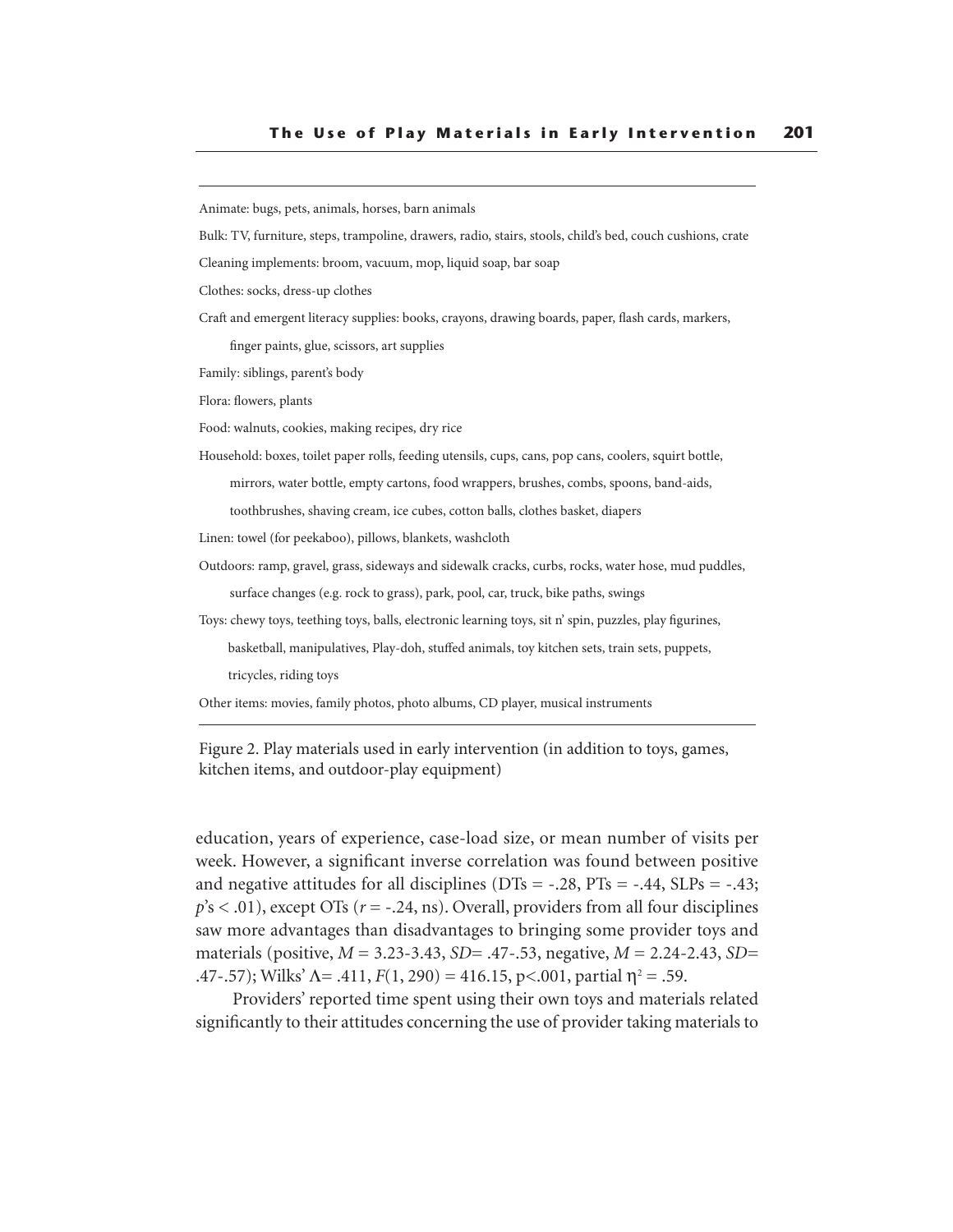Animate: bugs, pets, animals, horses, barn animals

Bulk: TV, furniture, steps, trampoline, drawers, radio, stairs, stools, child's bed, couch cushions, crate

Cleaning implements: broom, vacuum, mop, liquid soap, bar soap

Clothes: socks, dress-up clothes

Craft and emergent literacy supplies: books, crayons, drawing boards, paper, flash cards, markers,

finger paints, glue, scissors, art supplies

Family: siblings, parent's body

Flora: flowers, plants

Food: walnuts, cookies, making recipes, dry rice

Household: boxes, toilet paper rolls, feeding utensils, cups, cans, pop cans, coolers, squirt bottle,

mirrors, water bottle, empty cartons, food wrappers, brushes, combs, spoons, band-aids,

toothbrushes, shaving cream, ice cubes, cotton balls, clothes basket, diapers

Linen: towel (for peekaboo), pillows, blankets, washcloth

Outdoors: ramp, gravel, grass, sideways and sidewalk cracks, curbs, rocks, water hose, mud puddles, surface changes (e.g. rock to grass), park, pool, car, truck, bike paths, swings

Toys: chewy toys, teething toys, balls, electronic learning toys, sit n' spin, puzzles, play figurines,

basketball, manipulatives, Play-doh, stuffed animals, toy kitchen sets, train sets, puppets,

tricycles, riding toys

Other items: movies, family photos, photo albums, CD player, musical instruments

Figure 2. Play materials used in early intervention (in addition to toys, games, kitchen items, and outdoor-play equipment)

education, years of experience, case-load size, or mean number of visits per week. However, a significant inverse correlation was found between positive and negative attitudes for all disciplines ( $DTs = -.28$ ,  $PTs = -.44$ ,  $SLPs = -.43$ ;  $p's < .01$ ), except OTs ( $r = -.24$ , ns). Overall, providers from all four disciplines saw more advantages than disadvantages to bringing some provider toys and materials (positive, *M* = 3.23-3.43, *SD=* .47-.53, negative, *M* = 2.24-2.43, *SD=* .47-.57); Wilks'  $\Lambda$  = .411,  $F(1, 290) = 416.15$ , p<.001, partial  $\eta^2$  = .59.

Providers' reported time spent using their own toys and materials related significantly to their attitudes concerning the use of provider taking materials to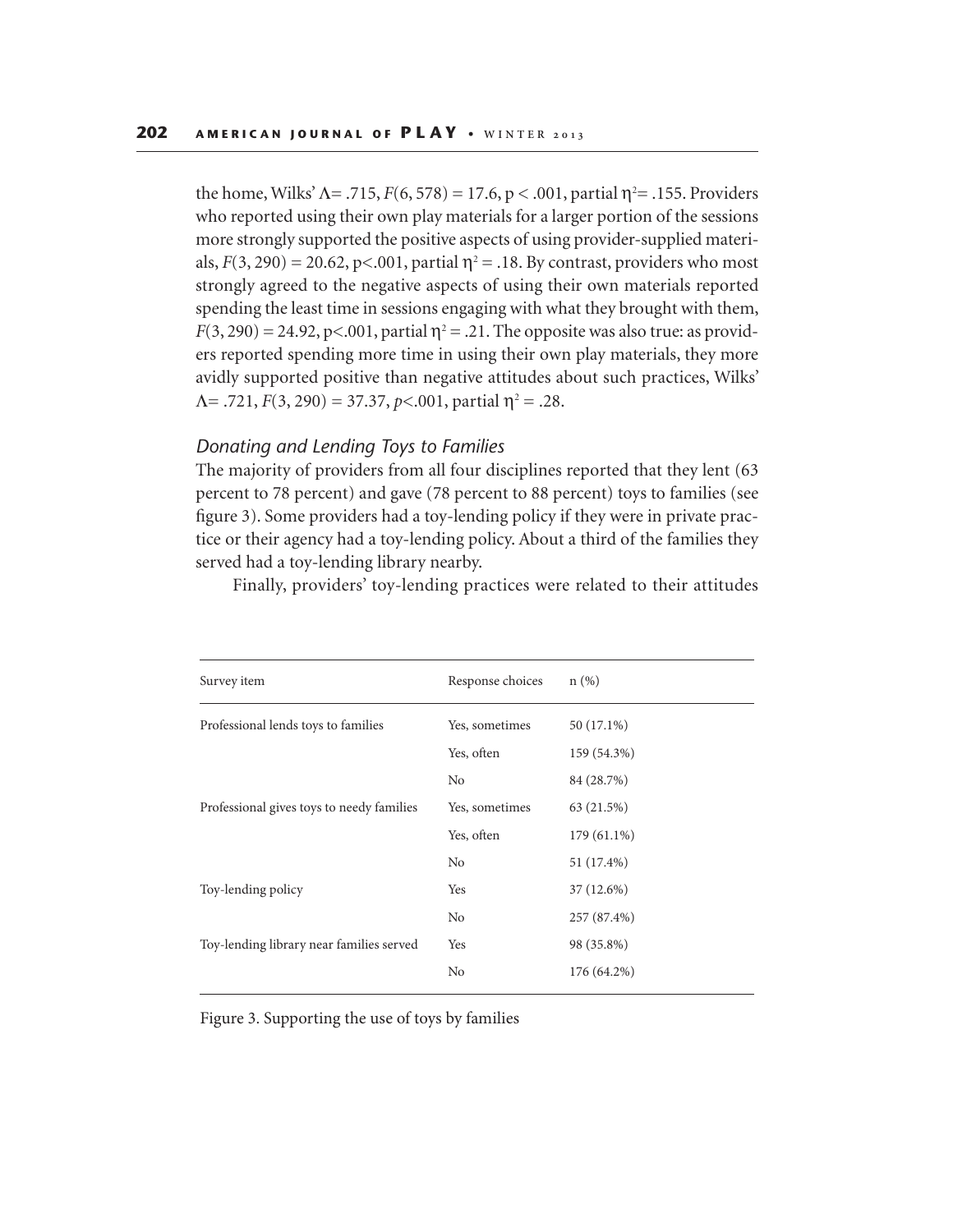the home, Wilks'  $\Lambda = .715$ ,  $F(6, 578) = 17.6$ ,  $p < .001$ , partial  $\eta^2 = .155$ . Providers who reported using their own play materials for a larger portion of the sessions more strongly supported the positive aspects of using provider-supplied materials,  $F(3, 290) = 20.62$ ,  $p< .001$ , partial  $\eta^2 = .18$ . By contrast, providers who most strongly agreed to the negative aspects of using their own materials reported spending the least time in sessions engaging with what they brought with them,  $F(3, 290) = 24.92$ , p<.001, partial  $\eta^2 = .21$ . The opposite was also true: as providers reported spending more time in using their own play materials, they more avidly supported positive than negative attitudes about such practices, Wilks'  $\Lambda$ = .721, *F*(3, 290) = 37.37, *p*<.001, partial  $\eta$ <sup>2</sup> = .28.

## *Donating and Lending Toys to Families*

The majority of providers from all four disciplines reported that they lent (63 percent to 78 percent) and gave (78 percent to 88 percent) toys to families (see figure 3). Some providers had a toy-lending policy if they were in private practice or their agency had a toy-lending policy. About a third of the families they served had a toy-lending library nearby.

Finally, providers' toy-lending practices were related to their attitudes

| Survey item                                                                                                 | Response choices | $n$ (%)     |
|-------------------------------------------------------------------------------------------------------------|------------------|-------------|
| Professional lends toys to families                                                                         | Yes, sometimes   | 50 (17.1%)  |
| Professional gives toys to needy families<br>Toy-lending policy<br>Toy-lending library near families served | Yes, often       | 159 (54.3%) |
|                                                                                                             | No               | 84 (28.7%)  |
|                                                                                                             | Yes, sometimes   | 63 (21.5%)  |
|                                                                                                             | Yes, often       | 179 (61.1%) |
|                                                                                                             | N <sub>0</sub>   | 51 (17.4%)  |
|                                                                                                             | Yes              | 37 (12.6%)  |
|                                                                                                             | No               | 257 (87.4%) |
|                                                                                                             | Yes              | 98 (35.8%)  |
|                                                                                                             | No               | 176 (64.2%) |

Figure 3. Supporting the use of toys by families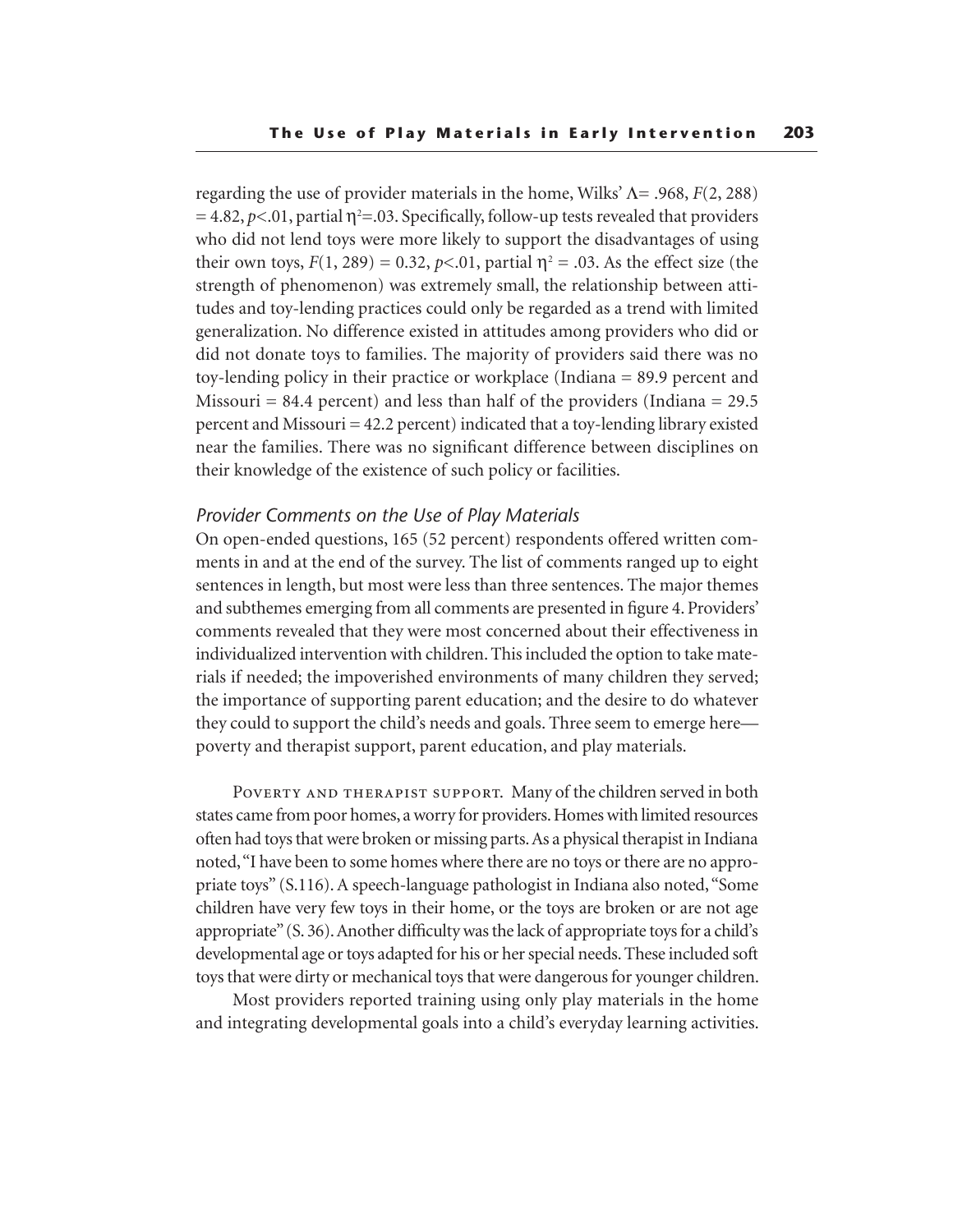regarding the use of provider materials in the home, Wilks' Λ= .968, *F*(2, 288)  $= 4.82, p<.01$ , partial  $\eta^2 = .03$ . Specifically, follow-up tests revealed that providers who did not lend toys were more likely to support the disadvantages of using their own toys,  $F(1, 289) = 0.32$ ,  $p<0.1$ , partial  $\eta^2 = 0.03$ . As the effect size (the strength of phenomenon) was extremely small, the relationship between attitudes and toy-lending practices could only be regarded as a trend with limited generalization. No difference existed in attitudes among providers who did or did not donate toys to families. The majority of providers said there was no toy-lending policy in their practice or workplace (Indiana = 89.9 percent and Missouri = 84.4 percent) and less than half of the providers (Indiana = 29.5 percent and Missouri = 42.2 percent) indicated that a toy-lending library existed near the families. There was no significant difference between disciplines on their knowledge of the existence of such policy or facilities.

## *Provider Comments on the Use of Play Materials*

On open-ended questions, 165 (52 percent) respondents offered written comments in and at the end of the survey. The list of comments ranged up to eight sentences in length, but most were less than three sentences. The major themes and subthemes emerging from all comments are presented in figure 4. Providers' comments revealed that they were most concerned about their effectiveness in individualized intervention with children. This included the option to take materials if needed; the impoverished environments of many children they served; the importance of supporting parent education; and the desire to do whatever they could to support the child's needs and goals. Three seem to emerge here poverty and therapist support, parent education, and play materials.

POVERTY AND THERAPIST SUPPORT. Many of the children served in both states came from poor homes, a worry for providers. Homes with limited resources often had toys that were broken or missing parts. As a physical therapist in Indiana noted, "I have been to some homes where there are no toys or there are no appropriate toys" (S.116). A speech-language pathologist in Indiana also noted, "Some children have very few toys in their home, or the toys are broken or are not age appropriate" (S. 36). Another difficulty was the lack of appropriate toys for a child's developmental age or toys adapted for his or her special needs. These included soft toys that were dirty or mechanical toys that were dangerous for younger children.

Most providers reported training using only play materials in the home and integrating developmental goals into a child's everyday learning activities.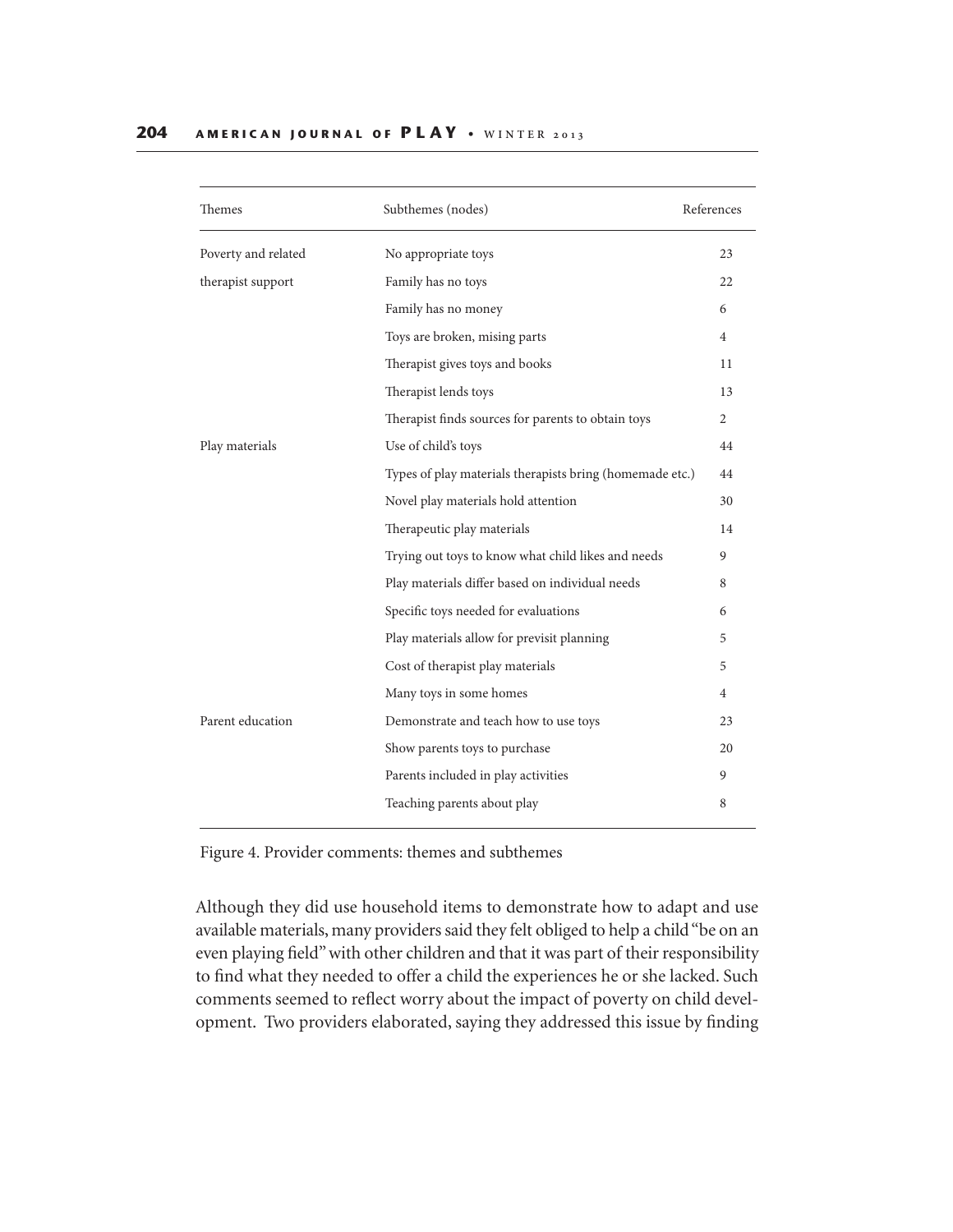| Themes              | Subthemes (nodes)                                        | References |
|---------------------|----------------------------------------------------------|------------|
| Poverty and related | No appropriate toys                                      | 23         |
| therapist support   | Family has no toys                                       | 22         |
|                     | Family has no money                                      | 6          |
|                     | Toys are broken, mising parts                            | 4          |
|                     | Therapist gives toys and books                           | 11         |
|                     | Therapist lends toys                                     | 13         |
|                     | Therapist finds sources for parents to obtain toys       | 2          |
| Play materials      | Use of child's toys                                      | 44         |
|                     | Types of play materials therapists bring (homemade etc.) | 44         |
|                     | Novel play materials hold attention                      | 30         |
|                     | Therapeutic play materials                               | 14         |
|                     | Trying out toys to know what child likes and needs       | 9          |
|                     | Play materials differ based on individual needs          | 8          |
|                     | Specific toys needed for evaluations                     | 6          |
|                     | Play materials allow for previsit planning               | 5          |
|                     | Cost of therapist play materials                         | 5          |
|                     | Many toys in some homes                                  | 4          |
| Parent education    | Demonstrate and teach how to use toys                    | 23         |
|                     | Show parents toys to purchase                            | 20         |
|                     | Parents included in play activities                      | 9          |
|                     | Teaching parents about play                              | 8          |
|                     |                                                          |            |

Figure 4. Provider comments: themes and subthemes

Although they did use household items to demonstrate how to adapt and use available materials, many providers said they felt obliged to help a child "be on an even playing field" with other children and that it was part of their responsibility to find what they needed to offer a child the experiences he or she lacked. Such comments seemed to reflect worry about the impact of poverty on child development. Two providers elaborated, saying they addressed this issue by finding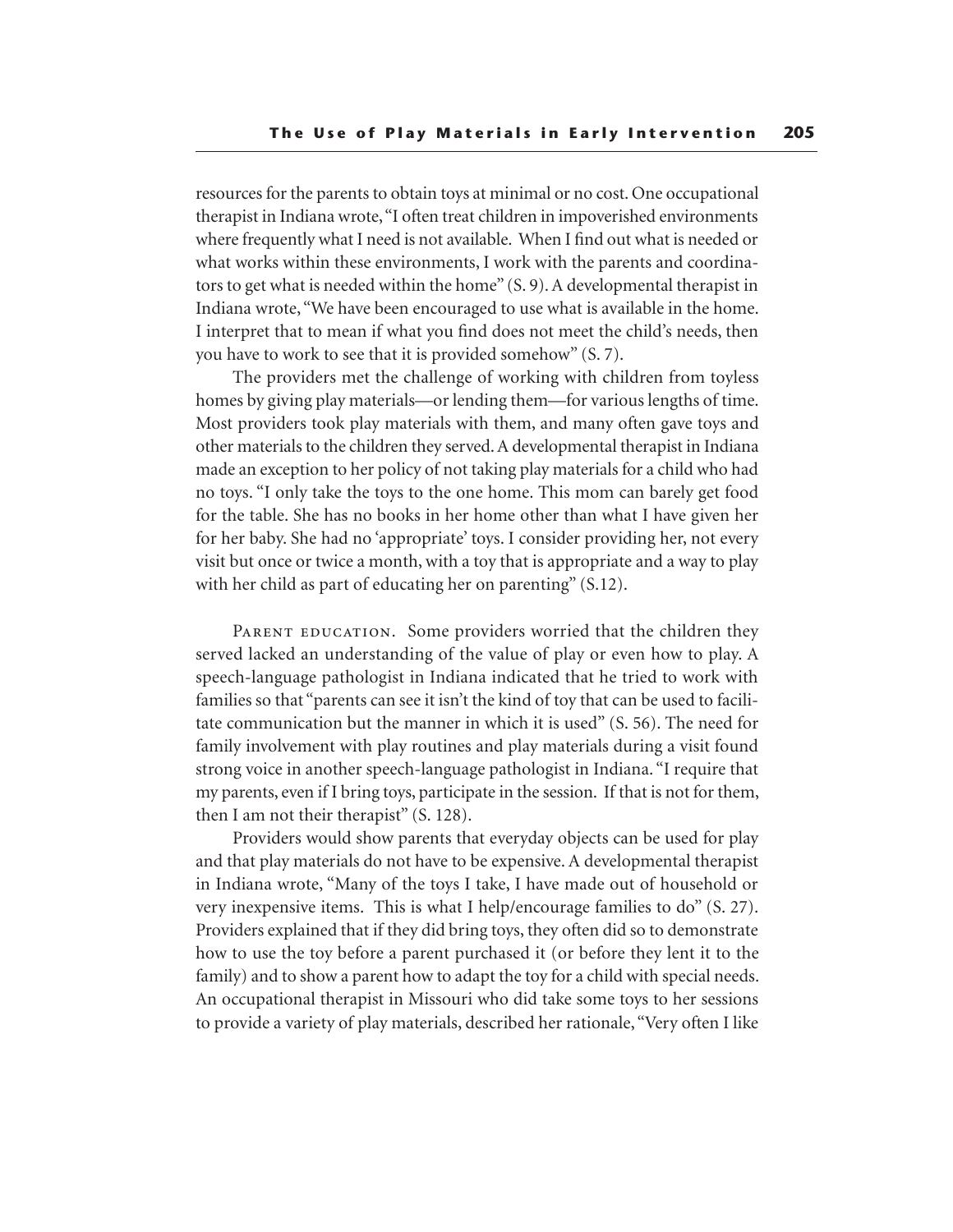resources for the parents to obtain toys at minimal or no cost. One occupational therapist in Indiana wrote, "I often treat children in impoverished environments where frequently what I need is not available. When I find out what is needed or what works within these environments, I work with the parents and coordinators to get what is needed within the home" (S. 9). A developmental therapist in Indiana wrote, "We have been encouraged to use what is available in the home. I interpret that to mean if what you find does not meet the child's needs, then you have to work to see that it is provided somehow" (S. 7).

The providers met the challenge of working with children from toyless homes by giving play materials—or lending them—for various lengths of time. Most providers took play materials with them, and many often gave toys and other materials to the children they served. A developmental therapist in Indiana made an exception to her policy of not taking play materials for a child who had no toys. "I only take the toys to the one home. This mom can barely get food for the table. She has no books in her home other than what I have given her for her baby. She had no 'appropriate' toys. I consider providing her, not every visit but once or twice a month, with a toy that is appropriate and a way to play with her child as part of educating her on parenting" (S.12).

PARENT EDUCATION. Some providers worried that the children they served lacked an understanding of the value of play or even how to play. A speech-language pathologist in Indiana indicated that he tried to work with families so that "parents can see it isn't the kind of toy that can be used to facilitate communication but the manner in which it is used" (S. 56). The need for family involvement with play routines and play materials during a visit found strong voice in another speech-language pathologist in Indiana. "I require that my parents, even if I bring toys, participate in the session. If that is not for them, then I am not their therapist" (S. 128).

Providers would show parents that everyday objects can be used for play and that play materials do not have to be expensive. A developmental therapist in Indiana wrote, "Many of the toys I take, I have made out of household or very inexpensive items. This is what I help/encourage families to do" (S. 27). Providers explained that if they did bring toys, they often did so to demonstrate how to use the toy before a parent purchased it (or before they lent it to the family) and to show a parent how to adapt the toy for a child with special needs. An occupational therapist in Missouri who did take some toys to her sessions to provide a variety of play materials, described her rationale, "Very often I like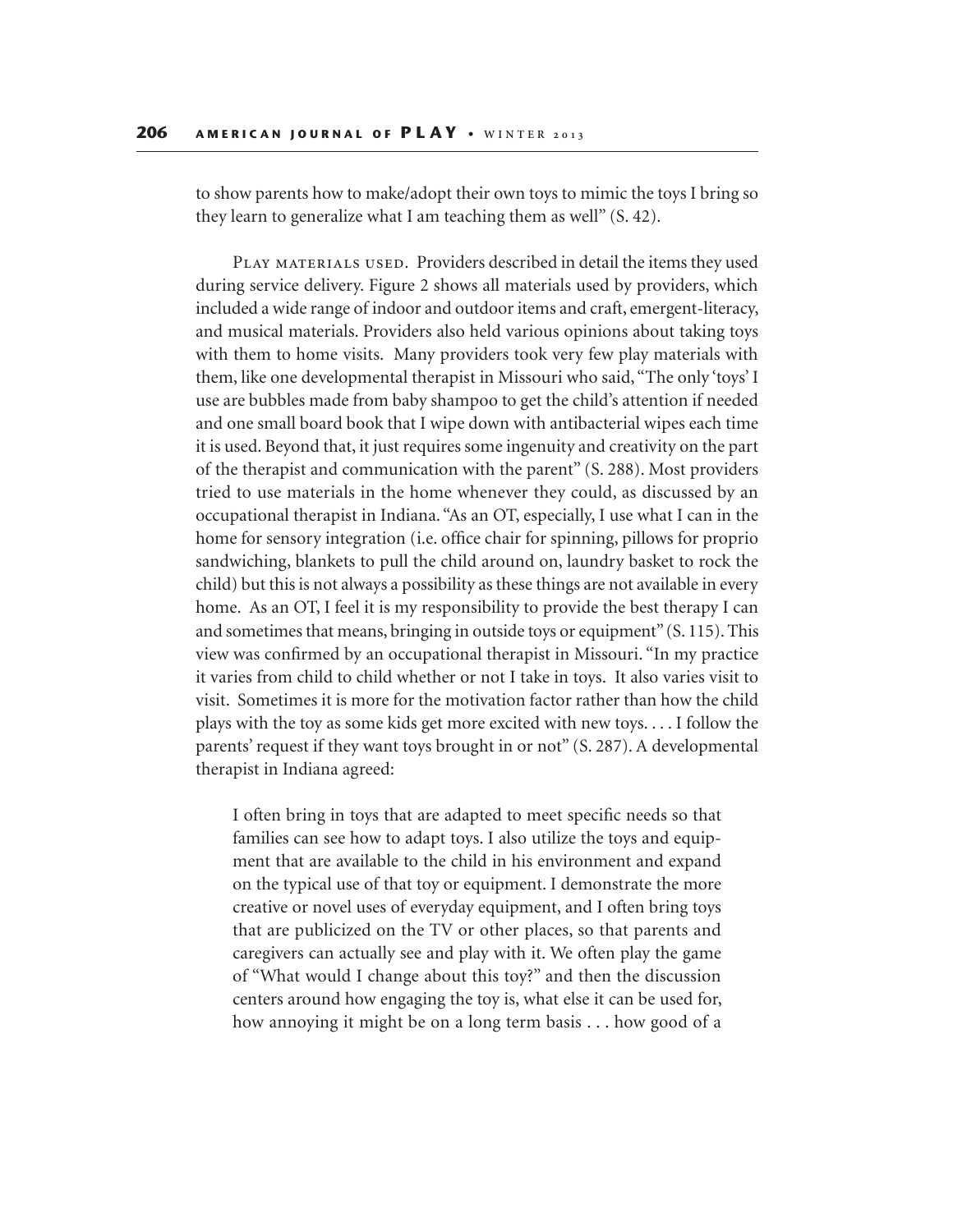to show parents how to make/adopt their own toys to mimic the toys I bring so they learn to generalize what I am teaching them as well" (S. 42).

PLAY MATERIALS USED. Providers described in detail the items they used during service delivery. Figure 2 shows all materials used by providers, which included a wide range of indoor and outdoor items and craft, emergent-literacy, and musical materials. Providers also held various opinions about taking toys with them to home visits. Many providers took very few play materials with them, like one developmental therapist in Missouri who said, "The only 'toys' I use are bubbles made from baby shampoo to get the child's attention if needed and one small board book that I wipe down with antibacterial wipes each time it is used. Beyond that, it just requires some ingenuity and creativity on the part of the therapist and communication with the parent" (S. 288). Most providers tried to use materials in the home whenever they could, as discussed by an occupational therapist in Indiana. "As an OT, especially, I use what I can in the home for sensory integration (i.e. office chair for spinning, pillows for proprio sandwiching, blankets to pull the child around on, laundry basket to rock the child) but this is not always a possibility as these things are not available in every home. As an OT, I feel it is my responsibility to provide the best therapy I can and sometimes that means, bringing in outside toys or equipment" (S. 115). This view was confirmed by an occupational therapist in Missouri. "In my practice it varies from child to child whether or not I take in toys. It also varies visit to visit. Sometimes it is more for the motivation factor rather than how the child plays with the toy as some kids get more excited with new toys. . . . I follow the parents' request if they want toys brought in or not" (S. 287). A developmental therapist in Indiana agreed:

I often bring in toys that are adapted to meet specific needs so that families can see how to adapt toys. I also utilize the toys and equipment that are available to the child in his environment and expand on the typical use of that toy or equipment. I demonstrate the more creative or novel uses of everyday equipment, and I often bring toys that are publicized on the TV or other places, so that parents and caregivers can actually see and play with it. We often play the game of "What would I change about this toy?" and then the discussion centers around how engaging the toy is, what else it can be used for, how annoying it might be on a long term basis . . . how good of a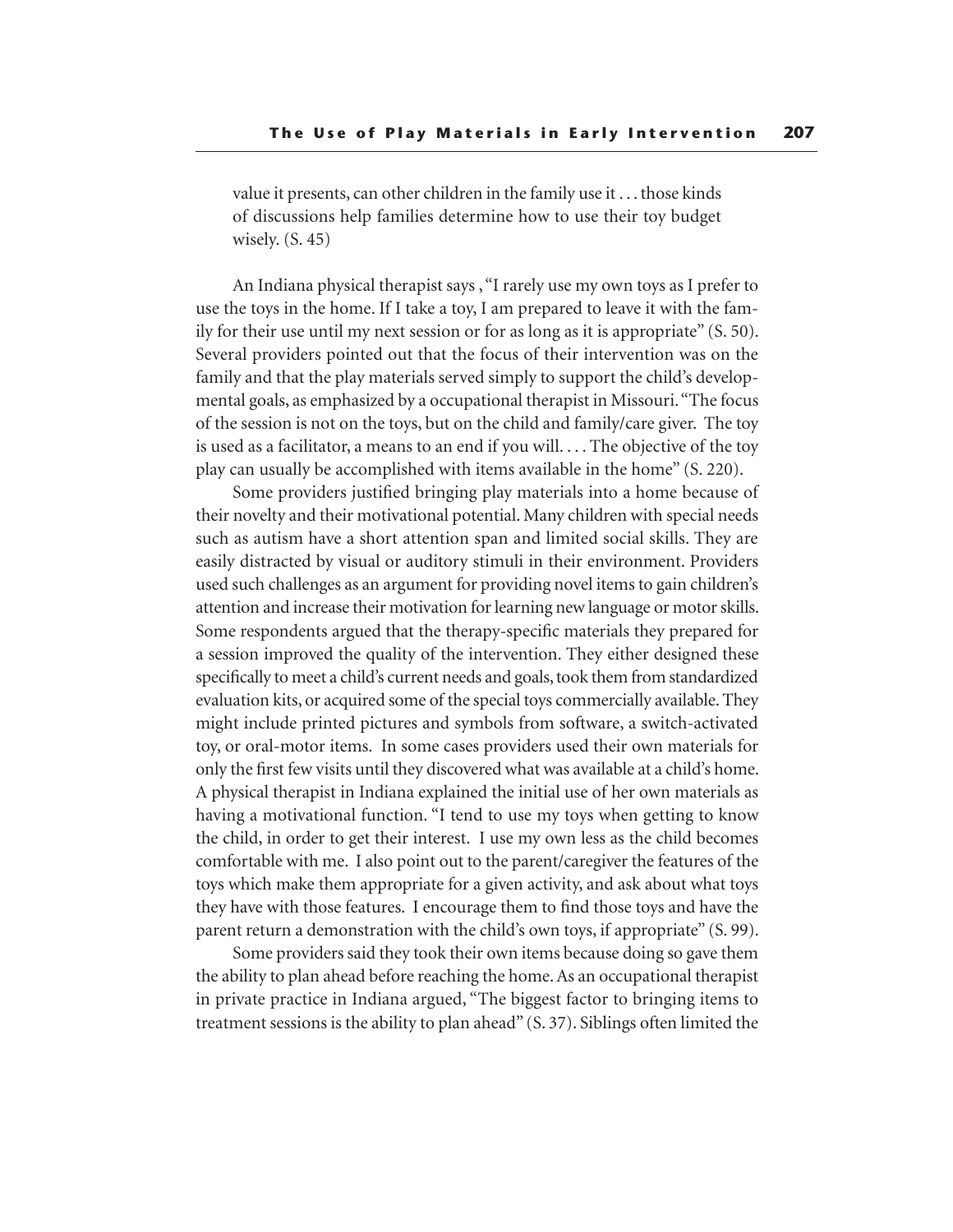value it presents, can other children in the family use it . . . those kinds of discussions help families determine how to use their toy budget wisely. (S. 45)

An Indiana physical therapist says , "I rarely use my own toys as I prefer to use the toys in the home. If I take a toy, I am prepared to leave it with the family for their use until my next session or for as long as it is appropriate" (S. 50). Several providers pointed out that the focus of their intervention was on the family and that the play materials served simply to support the child's developmental goals, as emphasized by a occupational therapist in Missouri. "The focus of the session is not on the toys, but on the child and family/care giver. The toy is used as a facilitator, a means to an end if you will. . . . The objective of the toy play can usually be accomplished with items available in the home" (S. 220).

Some providers justified bringing play materials into a home because of their novelty and their motivational potential. Many children with special needs such as autism have a short attention span and limited social skills. They are easily distracted by visual or auditory stimuli in their environment. Providers used such challenges as an argument for providing novel items to gain children's attention and increase their motivation for learning new language or motor skills. Some respondents argued that the therapy-specific materials they prepared for a session improved the quality of the intervention. They either designed these specifically to meet a child's current needs and goals, took them from standardized evaluation kits, or acquired some of the special toys commercially available. They might include printed pictures and symbols from software, a switch-activated toy, or oral-motor items. In some cases providers used their own materials for only the first few visits until they discovered what was available at a child's home. A physical therapist in Indiana explained the initial use of her own materials as having a motivational function. "I tend to use my toys when getting to know the child, in order to get their interest. I use my own less as the child becomes comfortable with me. I also point out to the parent/caregiver the features of the toys which make them appropriate for a given activity, and ask about what toys they have with those features. I encourage them to find those toys and have the parent return a demonstration with the child's own toys, if appropriate" (S. 99).

Some providers said they took their own items because doing so gave them the ability to plan ahead before reaching the home. As an occupational therapist in private practice in Indiana argued, "The biggest factor to bringing items to treatment sessions is the ability to plan ahead" (S. 37). Siblings often limited the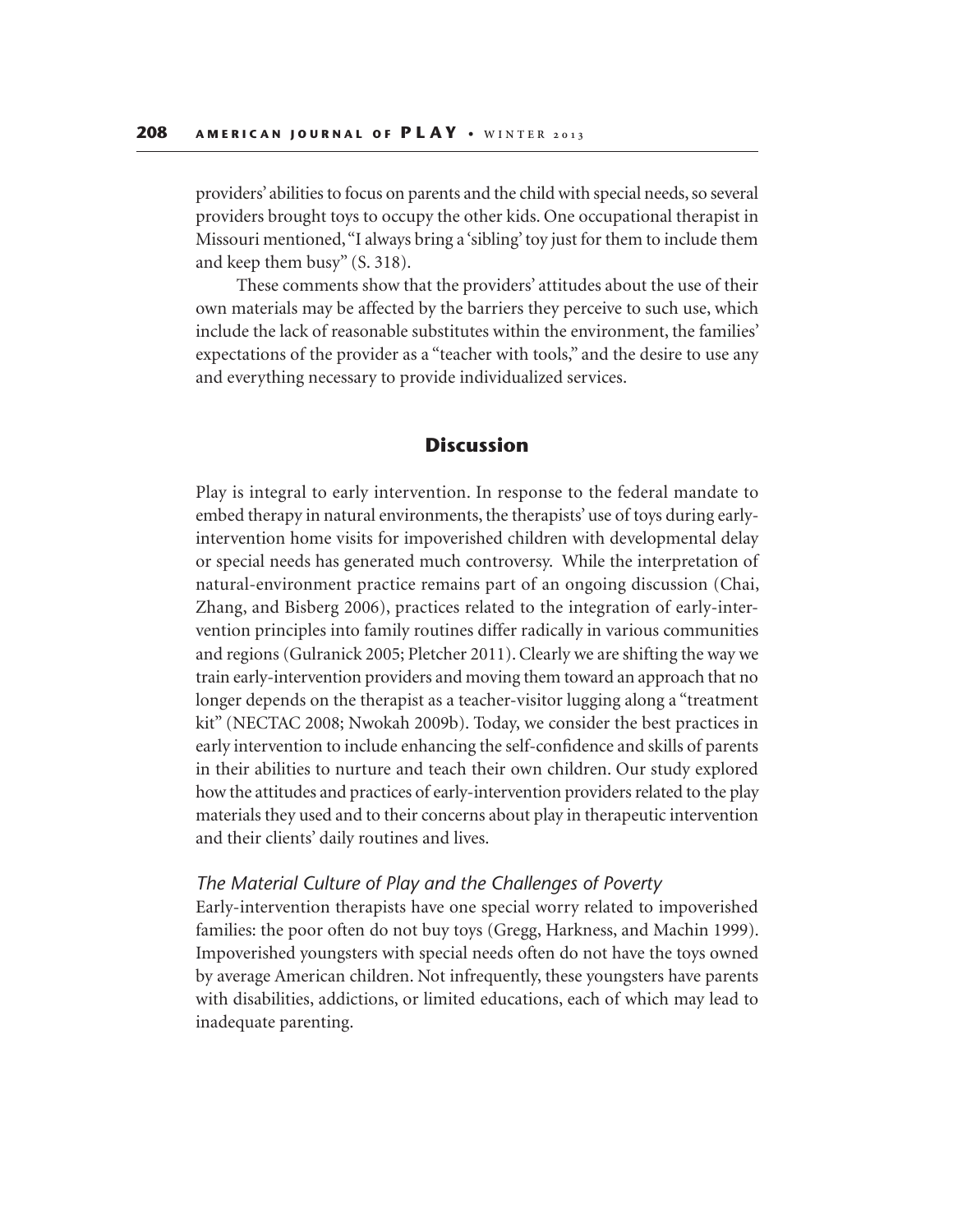providers' abilities to focus on parents and the child with special needs, so several providers brought toys to occupy the other kids. One occupational therapist in Missouri mentioned, "I always bring a 'sibling' toy just for them to include them and keep them busy" (S. 318).

 These comments show that the providers' attitudes about the use of their own materials may be affected by the barriers they perceive to such use, which include the lack of reasonable substitutes within the environment, the families' expectations of the provider as a "teacher with tools," and the desire to use any and everything necessary to provide individualized services.

# **Discussion**

Play is integral to early intervention. In response to the federal mandate to embed therapy in natural environments, the therapists' use of toys during earlyintervention home visits for impoverished children with developmental delay or special needs has generated much controversy. While the interpretation of natural-environment practice remains part of an ongoing discussion (Chai, Zhang, and Bisberg 2006), practices related to the integration of early-intervention principles into family routines differ radically in various communities and regions (Gulranick 2005; Pletcher 2011). Clearly we are shifting the way we train early-intervention providers and moving them toward an approach that no longer depends on the therapist as a teacher-visitor lugging along a "treatment kit" (NECTAC 2008; Nwokah 2009b). Today, we consider the best practices in early intervention to include enhancing the self-confidence and skills of parents in their abilities to nurture and teach their own children. Our study explored how the attitudes and practices of early-intervention providers related to the play materials they used and to their concerns about play in therapeutic intervention and their clients' daily routines and lives.

## *The Material Culture of Play and the Challenges of Poverty*

Early-intervention therapists have one special worry related to impoverished families: the poor often do not buy toys (Gregg, Harkness, and Machin 1999). Impoverished youngsters with special needs often do not have the toys owned by average American children. Not infrequently, these youngsters have parents with disabilities, addictions, or limited educations, each of which may lead to inadequate parenting.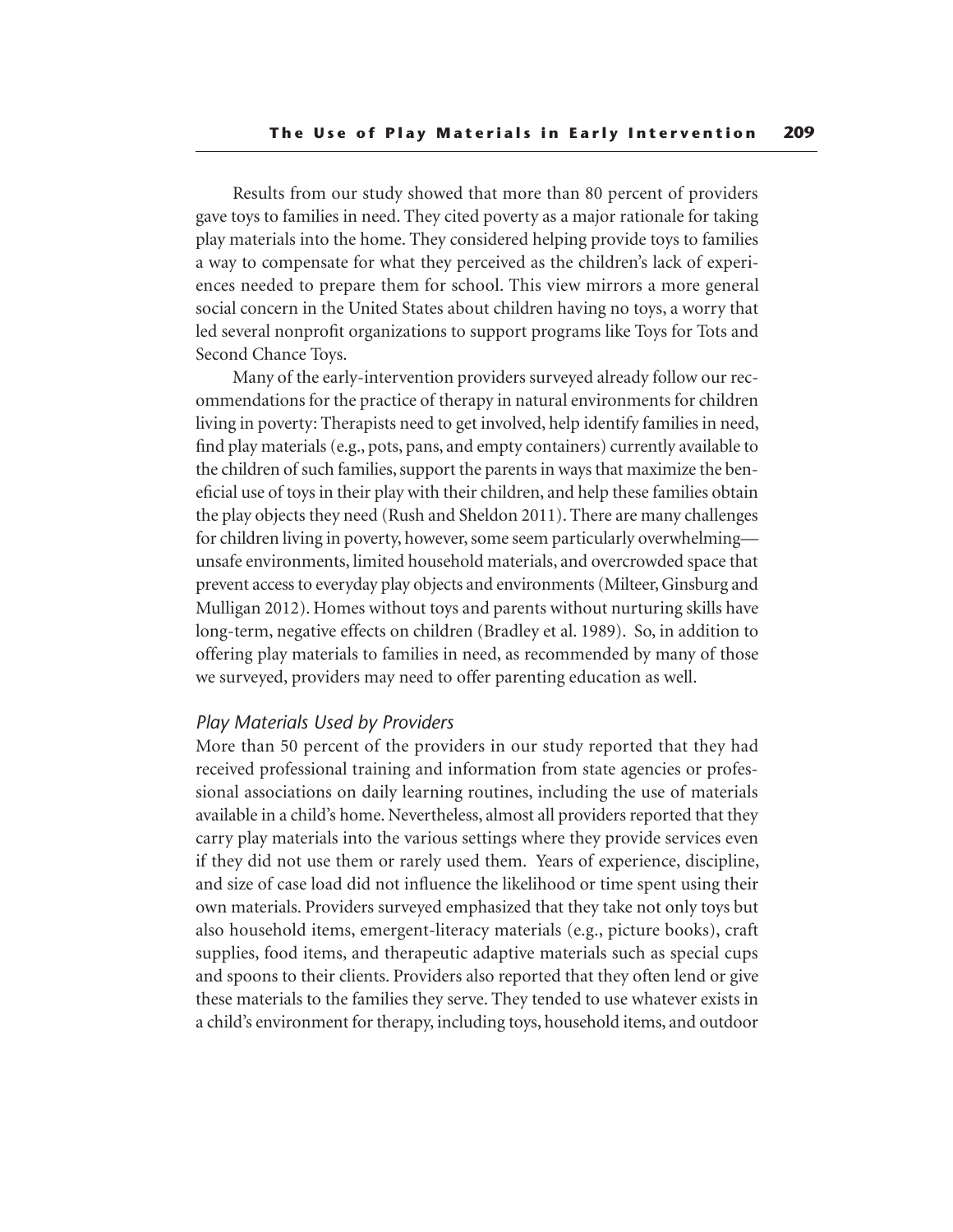Results from our study showed that more than 80 percent of providers gave toys to families in need. They cited poverty as a major rationale for taking play materials into the home. They considered helping provide toys to families a way to compensate for what they perceived as the children's lack of experiences needed to prepare them for school. This view mirrors a more general social concern in the United States about children having no toys, a worry that led several nonprofit organizations to support programs like Toys for Tots and Second Chance Toys.

Many of the early-intervention providers surveyed already follow our recommendations for the practice of therapy in natural environments for children living in poverty: Therapists need to get involved, help identify families in need, find play materials (e.g., pots, pans, and empty containers) currently available to the children of such families, support the parents in ways that maximize the beneficial use of toys in their play with their children, and help these families obtain the play objects they need (Rush and Sheldon 2011). There are many challenges for children living in poverty, however, some seem particularly overwhelming unsafe environments, limited household materials, and overcrowded space that prevent access to everyday play objects and environments (Milteer, Ginsburg and Mulligan 2012). Homes without toys and parents without nurturing skills have long-term, negative effects on children (Bradley et al. 1989). So, in addition to offering play materials to families in need, as recommended by many of those we surveyed, providers may need to offer parenting education as well.

## *Play Materials Used by Providers*

More than 50 percent of the providers in our study reported that they had received professional training and information from state agencies or professional associations on daily learning routines, including the use of materials available in a child's home. Nevertheless, almost all providers reported that they carry play materials into the various settings where they provide services even if they did not use them or rarely used them. Years of experience, discipline, and size of case load did not influence the likelihood or time spent using their own materials. Providers surveyed emphasized that they take not only toys but also household items, emergent-literacy materials (e.g., picture books), craft supplies, food items, and therapeutic adaptive materials such as special cups and spoons to their clients. Providers also reported that they often lend or give these materials to the families they serve. They tended to use whatever exists in a child's environment for therapy, including toys, household items, and outdoor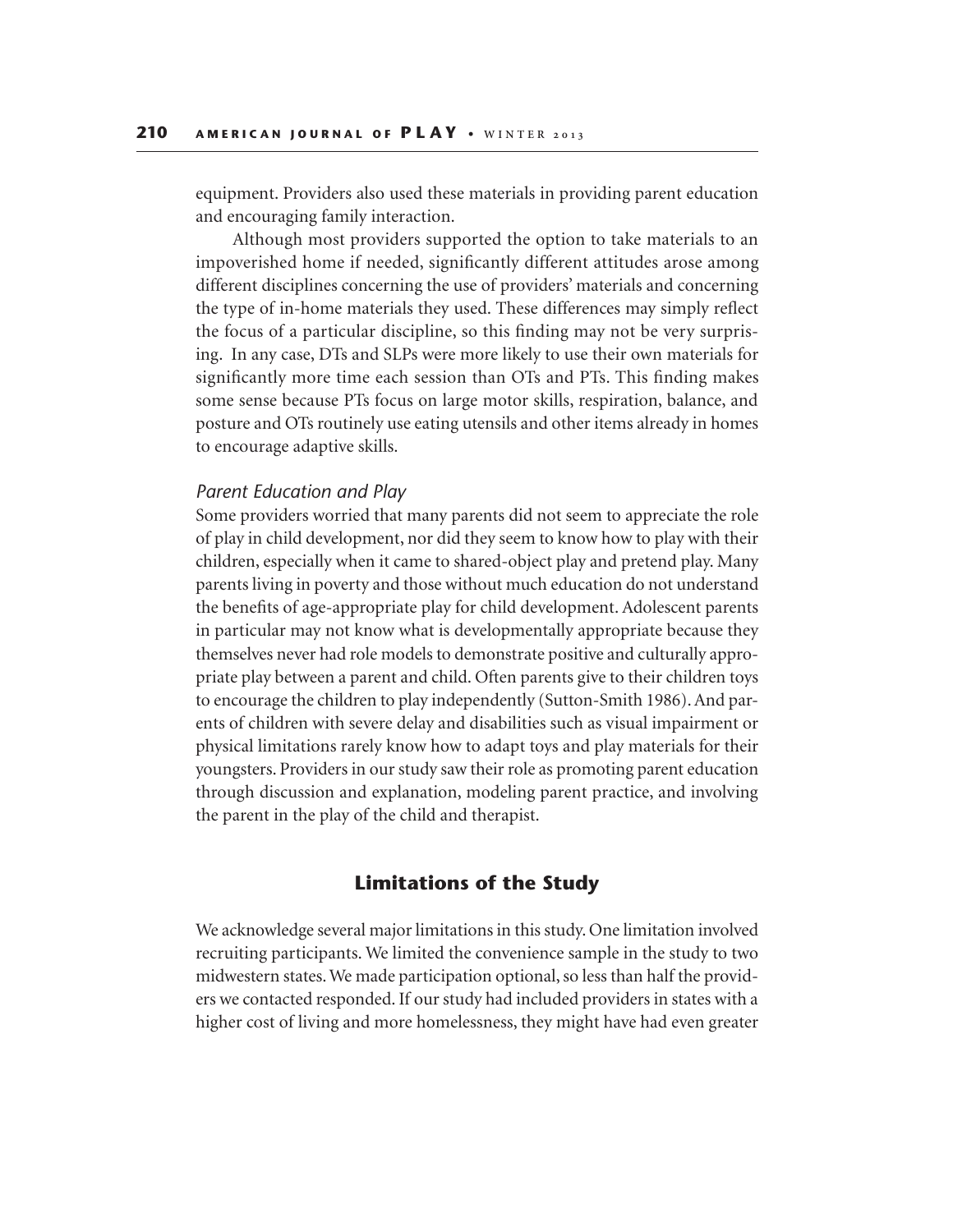equipment. Providers also used these materials in providing parent education and encouraging family interaction.

Although most providers supported the option to take materials to an impoverished home if needed, significantly different attitudes arose among different disciplines concerning the use of providers' materials and concerning the type of in-home materials they used. These differences may simply reflect the focus of a particular discipline, so this finding may not be very surprising. In any case, DTs and SLPs were more likely to use their own materials for significantly more time each session than OTs and PTs. This finding makes some sense because PTs focus on large motor skills, respiration, balance, and posture and OTs routinely use eating utensils and other items already in homes to encourage adaptive skills.

## *Parent Education and Play*

Some providers worried that many parents did not seem to appreciate the role of play in child development, nor did they seem to know how to play with their children, especially when it came to shared-object play and pretend play. Many parents living in poverty and those without much education do not understand the benefits of age-appropriate play for child development. Adolescent parents in particular may not know what is developmentally appropriate because they themselves never had role models to demonstrate positive and culturally appropriate play between a parent and child. Often parents give to their children toys to encourage the children to play independently (Sutton-Smith 1986). And parents of children with severe delay and disabilities such as visual impairment or physical limitations rarely know how to adapt toys and play materials for their youngsters. Providers in our study saw their role as promoting parent education through discussion and explanation, modeling parent practice, and involving the parent in the play of the child and therapist.

# **Limitations of the Study**

We acknowledge several major limitations in this study. One limitation involved recruiting participants. We limited the convenience sample in the study to two midwestern states. We made participation optional, so less than half the providers we contacted responded. If our study had included providers in states with a higher cost of living and more homelessness, they might have had even greater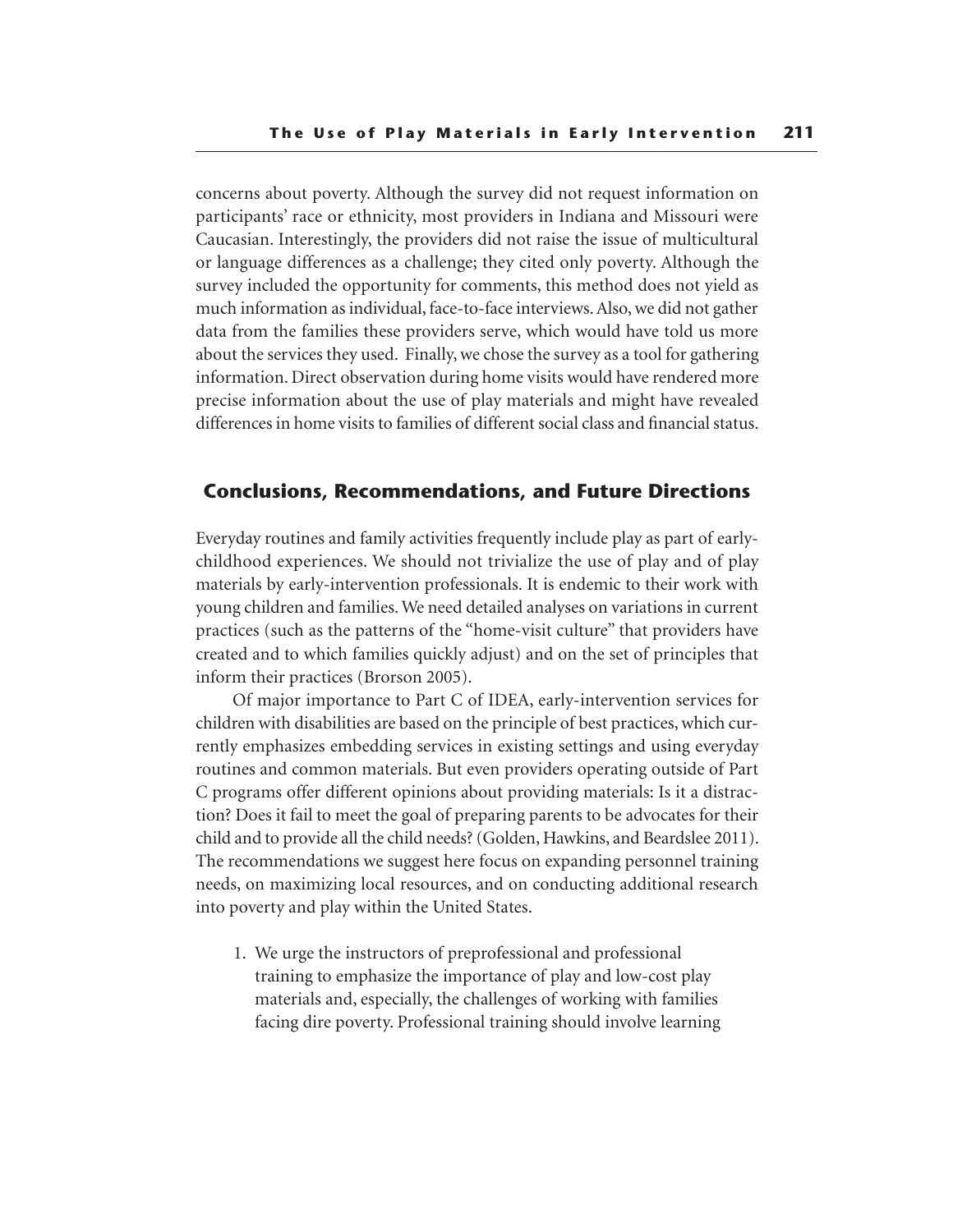concerns about poverty. Although the survey did not request information on participants' race or ethnicity, most providers in Indiana and Missouri were Caucasian. Interestingly, the providers did not raise the issue of multicultural or language differences as a challenge; they cited only poverty. Although the survey included the opportunity for comments, this method does not yield as much information as individual, face-to-face interviews. Also, we did not gather data from the families these providers serve, which would have told us more about the services they used. Finally, we chose the survey as a tool for gathering information. Direct observation during home visits would have rendered more precise information about the use of play materials and might have revealed differences in home visits to families of different social class and financial status.

# **Conclusions, Recommendations, and Future Directions**

Everyday routines and family activities frequently include play as part of earlychildhood experiences. We should not trivialize the use of play and of play materials by early-intervention professionals. It is endemic to their work with young children and families. We need detailed analyses on variations in current practices (such as the patterns of the "home-visit culture" that providers have created and to which families quickly adjust) and on the set of principles that inform their practices (Brorson 2005).

Of major importance to Part C of IDEA, early-intervention services for children with disabilities are based on the principle of best practices, which currently emphasizes embedding services in existing settings and using everyday routines and common materials. But even providers operating outside of Part C programs offer different opinions about providing materials: Is it a distraction? Does it fail to meet the goal of preparing parents to be advocates for their child and to provide all the child needs? (Golden, Hawkins, and Beardslee 2011). The recommendations we suggest here focus on expanding personnel training needs, on maximizing local resources, and on conducting additional research into poverty and play within the United States.

1. We urge the instructors of preprofessional and professional training to emphasize the importance of play and low-cost play materials and, especially, the challenges of working with families facing dire poverty. Professional training should involve learning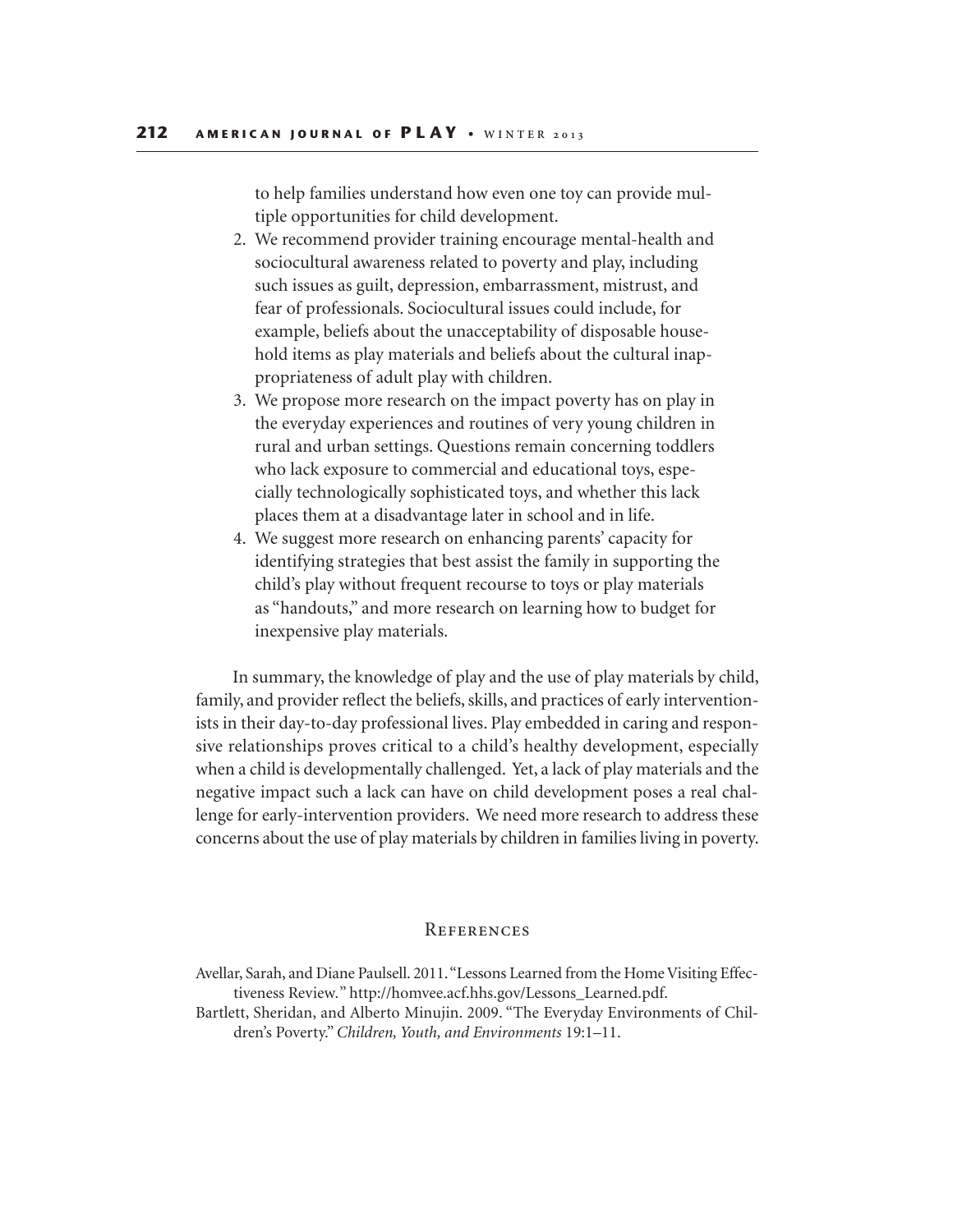to help families understand how even one toy can provide multiple opportunities for child development.

- 2. We recommend provider training encourage mental-health and sociocultural awareness related to poverty and play, including such issues as guilt, depression, embarrassment, mistrust, and fear of professionals. Sociocultural issues could include, for example, beliefs about the unacceptability of disposable household items as play materials and beliefs about the cultural inappropriateness of adult play with children.
- 3. We propose more research on the impact poverty has on play in the everyday experiences and routines of very young children in rural and urban settings. Questions remain concerning toddlers who lack exposure to commercial and educational toys, especially technologically sophisticated toys, and whether this lack places them at a disadvantage later in school and in life.
- 4. We suggest more research on enhancing parents' capacity for identifying strategies that best assist the family in supporting the child's play without frequent recourse to toys or play materials as "handouts," and more research on learning how to budget for inexpensive play materials.

In summary, the knowledge of play and the use of play materials by child, family, and provider reflect the beliefs, skills, and practices of early interventionists in their day-to-day professional lives. Play embedded in caring and responsive relationships proves critical to a child's healthy development, especially when a child is developmentally challenged. Yet, a lack of play materials and the negative impact such a lack can have on child development poses a real challenge for early-intervention providers. We need more research to address these concerns about the use of play materials by children in families living in poverty.

## **REFERENCES**

Avellar, Sarah, and Diane Paulsell. 2011. "Lessons Learned from the Home Visiting Effectiveness Review*.*" http://homvee.acf.hhs.gov/Lessons\_Learned.pdf.

Bartlett, Sheridan, and Alberto Minujin. 2009. "The Everyday Environments of Children's Poverty." *Children, Youth, and Environments* 19:1–11.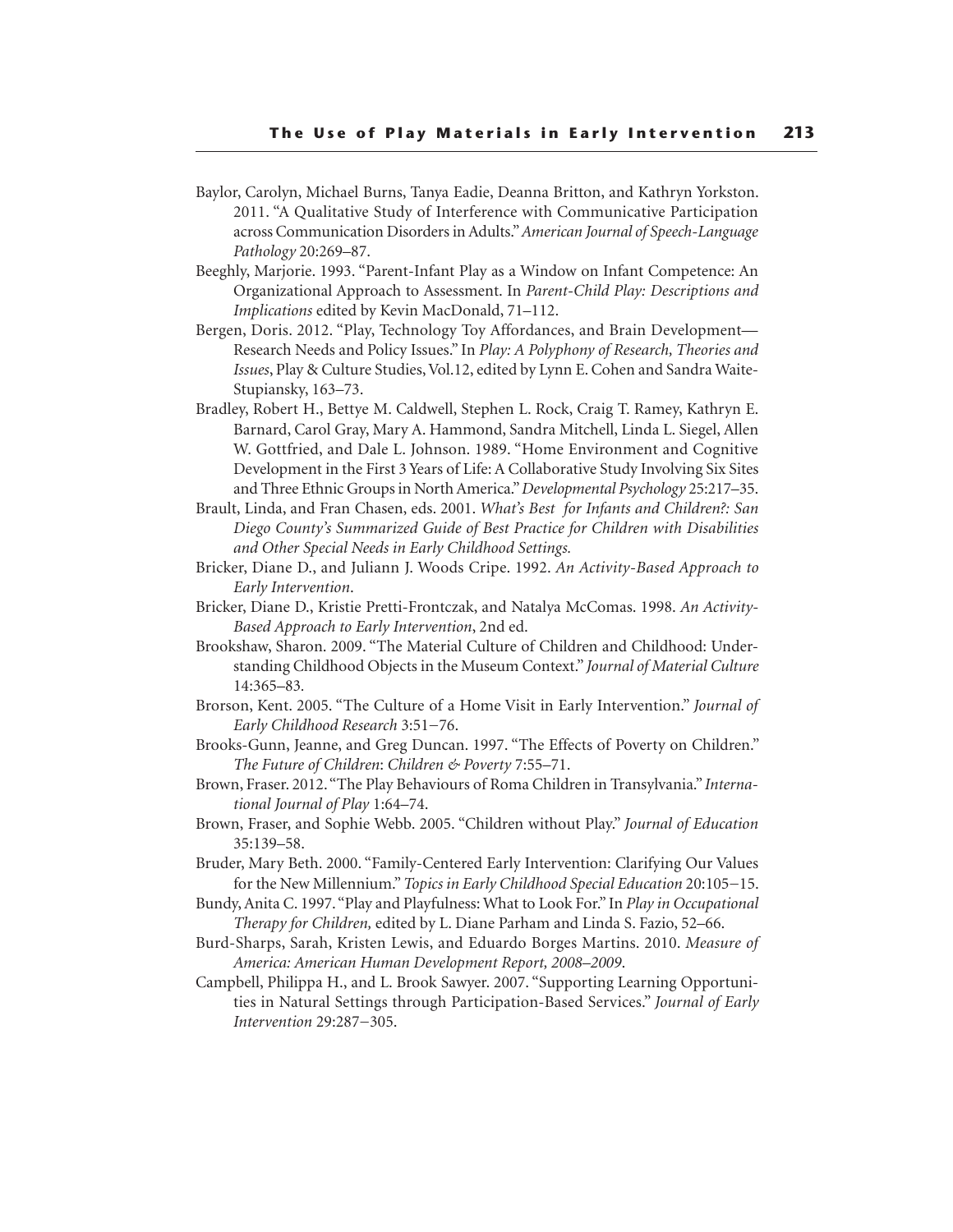- Baylor, Carolyn, Michael Burns, Tanya Eadie, Deanna Britton, and Kathryn Yorkston. 2011. "A Qualitative Study of Interference with Communicative Participation across Communication Disorders in Adults." *American Journal of Speech-Language Pathology* 20:269–87.
- Beeghly, Marjorie. 1993. "Parent-Infant Play as a Window on Infant Competence: An Organizational Approach to Assessment. In *Parent-Child Play: Descriptions and Implications* edited by Kevin MacDonald, 71–112.
- Bergen, Doris. 2012. "Play, Technology Toy Affordances, and Brain Development— Research Needs and Policy Issues." In *Play: A Polyphony of Research, Theories and Issues*, Play & Culture Studies, Vol.12, edited by Lynn E. Cohen and Sandra Waite-Stupiansky, 163–73.
- Bradley, Robert H., Bettye M. Caldwell, Stephen L. Rock, Craig T. Ramey, Kathryn E. Barnard, Carol Gray, Mary A. Hammond, Sandra Mitchell, Linda L. Siegel, Allen W. Gottfried, and Dale L. Johnson. 1989. "Home Environment and Cognitive Development in the First 3 Years of Life: A Collaborative Study Involving Six Sites and Three Ethnic Groups in North America." *Developmental Psychology* 25:217–35.
- Brault, Linda, and Fran Chasen, eds. 2001. *What's Best for Infants and Children?: San Diego County's Summarized Guide of Best Practice for Children with Disabilities and Other Special Needs in Early Childhood Settings.*
- Bricker, Diane D., and Juliann J. Woods Cripe. 1992. *An Activity-Based Approach to Early Intervention*.
- Bricker, Diane D., Kristie Pretti-Frontczak, and Natalya McComas. 1998. *An Activity-Based Approach to Early Intervention*, 2nd ed.
- Brookshaw, Sharon. 2009. "The Material Culture of Children and Childhood: Understanding Childhood Objects in the Museum Context." *Journal of Material Culture*  14:365–83*.*
- Brorson, Kent. 2005. "The Culture of a Home Visit in Early Intervention." *Journal of Early Childhood Research* 3:51−76.
- Brooks-Gunn, Jeanne, and Greg Duncan. 1997. "The Effects of Poverty on Children." *The Future of Children*: *Children & Poverty* 7:55–71.
- Brown, Fraser. 2012. "The Play Behaviours of Roma Children in Transylvania." *International Journal of Play* 1:64–74.
- Brown, Fraser, and Sophie Webb. 2005. "Children without Play." *Journal of Education* 35:139–58.
- Bruder, Mary Beth. 2000. "Family-Centered Early Intervention: Clarifying Our Values for the New Millennium." *Topics in Early Childhood Special Education* 20:105−15.
- Bundy, Anita C. 1997. "Play and Playfulness: What to Look For." In *Play in Occupational Therapy for Children,* edited by L. Diane Parham and Linda S. Fazio, 52–66.
- Burd-Sharps, Sarah, Kristen Lewis, and Eduardo Borges Martins. 2010. *Measure of America: American Human Development Report, 2008–2009*.
- Campbell, Philippa H., and L. Brook Sawyer. 2007. "Supporting Learning Opportunities in Natural Settings through Participation-Based Services." *Journal of Early Intervention* 29:287−305.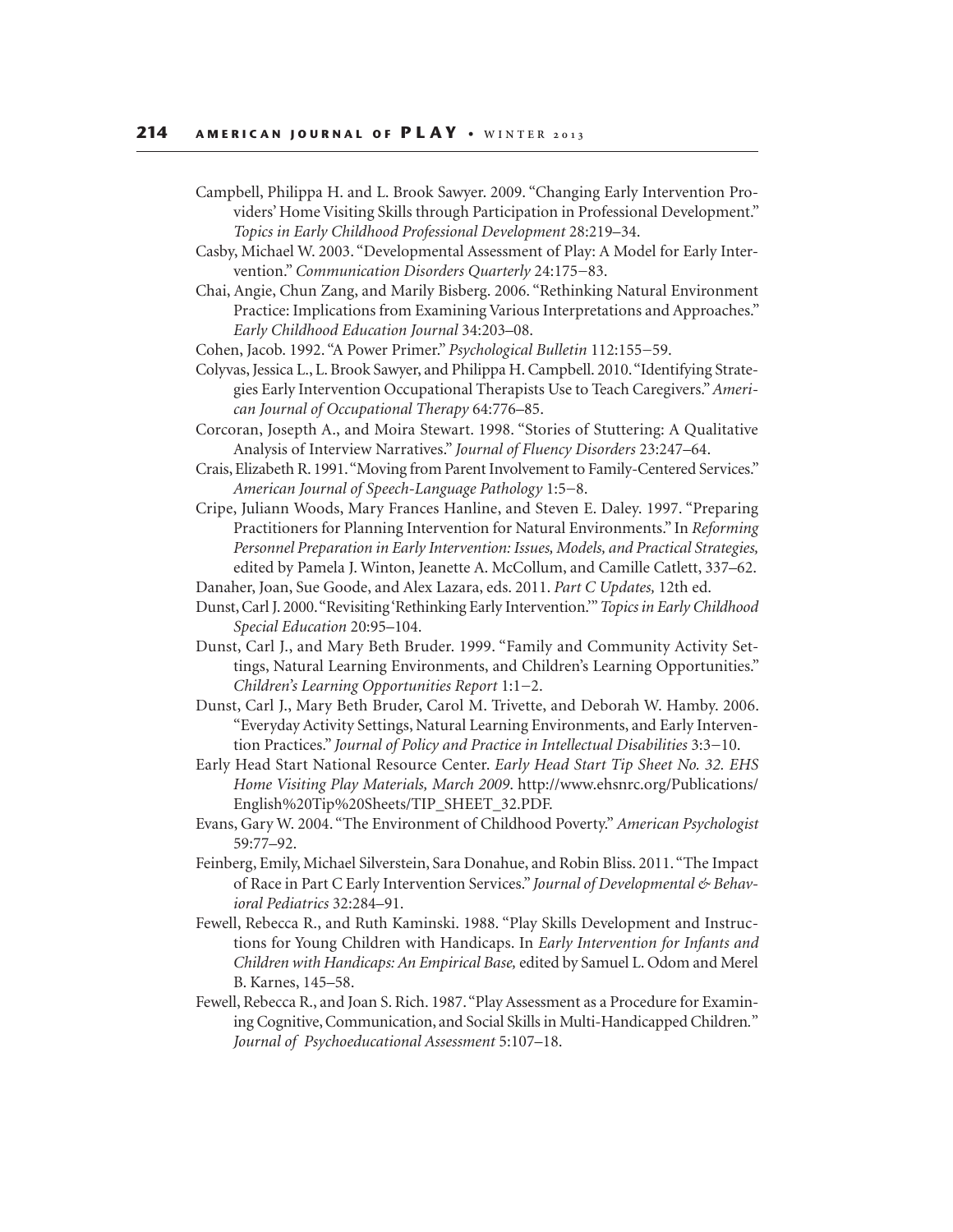- Campbell, Philippa H. and L. Brook Sawyer. 2009. "Changing Early Intervention Providers' Home Visiting Skills through Participation in Professional Development." *Topics in Early Childhood Professional Development* 28:219–34.
- Casby, Michael W. 2003. "Developmental Assessment of Play: A Model for Early Intervention." *Communication Disorders Quarterly* 24:175−83.
- Chai, Angie, Chun Zang, and Marily Bisberg. 2006. "Rethinking Natural Environment Practice: Implications from Examining Various Interpretations and Approaches." *Early Childhood Education Journal* 34:203–08.
- Cohen, Jacob. 1992. "A Power Primer." *Psychological Bulletin* 112:155−59.
- Colyvas, Jessica L., L. Brook Sawyer, and Philippa H. Campbell. 2010. "Identifying Strategies Early Intervention Occupational Therapists Use to Teach Caregivers." *American Journal of Occupational Therapy* 64:776–85.
- Corcoran, Josepth A., and Moira Stewart. 1998. "Stories of Stuttering: A Qualitative Analysis of Interview Narratives." *Journal of Fluency Disorders* 23:247–64.
- Crais, Elizabeth R. 1991. "Moving from Parent Involvement to Family-Centered Services." *American Journal of Speech-Language Pathology* 1:5−8.
- Cripe, Juliann Woods, Mary Frances Hanline, and Steven E. Daley. 1997. "Preparing Practitioners for Planning Intervention for Natural Environments." In *Reforming Personnel Preparation in Early Intervention: Issues, Models, and Practical Strategies,* edited by Pamela J. Winton, Jeanette A. McCollum, and Camille Catlett, 337–62.
- Danaher, Joan, Sue Goode, and Alex Lazara, eds. 2011. *Part C Updates,* 12th ed.
- Dunst, Carl J. 2000. "Revisiting 'Rethinking Early Intervention.'" *Topics in Early Childhood Special Education* 20:95–104.
- Dunst, Carl J., and Mary Beth Bruder. 1999. "Family and Community Activity Settings, Natural Learning Environments, and Children's Learning Opportunities." *Children's Learning Opportunities Report* 1:1−2.
- Dunst, Carl J., Mary Beth Bruder, Carol M. Trivette, and Deborah W. Hamby. 2006. "Everyday Activity Settings, Natural Learning Environments, and Early Intervention Practices." *Journal of Policy and Practice in Intellectual Disabilities* 3:3−10.
- Early Head Start National Resource Center. *Early Head Start Tip Sheet No. 32. EHS Home Visiting Play Materials, March 2009*. http://www.ehsnrc.org/Publications/ English%20Tip%20Sheets/TIP\_SHEET\_32.PDF.
- Evans, Gary W. 2004. "The Environment of Childhood Poverty." *American Psychologist*  59:77–92.
- Feinberg, Emily, Michael Silverstein, Sara Donahue, and Robin Bliss. 2011. "The Impact of Race in Part C Early Intervention Services." *Journal of Developmental & Behavioral Pediatrics* 32:284–91.
- Fewell, Rebecca R., and Ruth Kaminski. 1988. "Play Skills Development and Instructions for Young Children with Handicaps. In *Early Intervention for Infants and Children with Handicaps: An Empirical Base,* edited by Samuel L. Odom and Merel B. Karnes, 145–58.
- Fewell, Rebecca R., and Joan S. Rich. 1987. "Play Assessment as a Procedure for Examining Cognitive, Communication, and Social Skills in Multi-Handicapped Children*.*" *Journal of Psychoeducational Assessment* 5:107–18.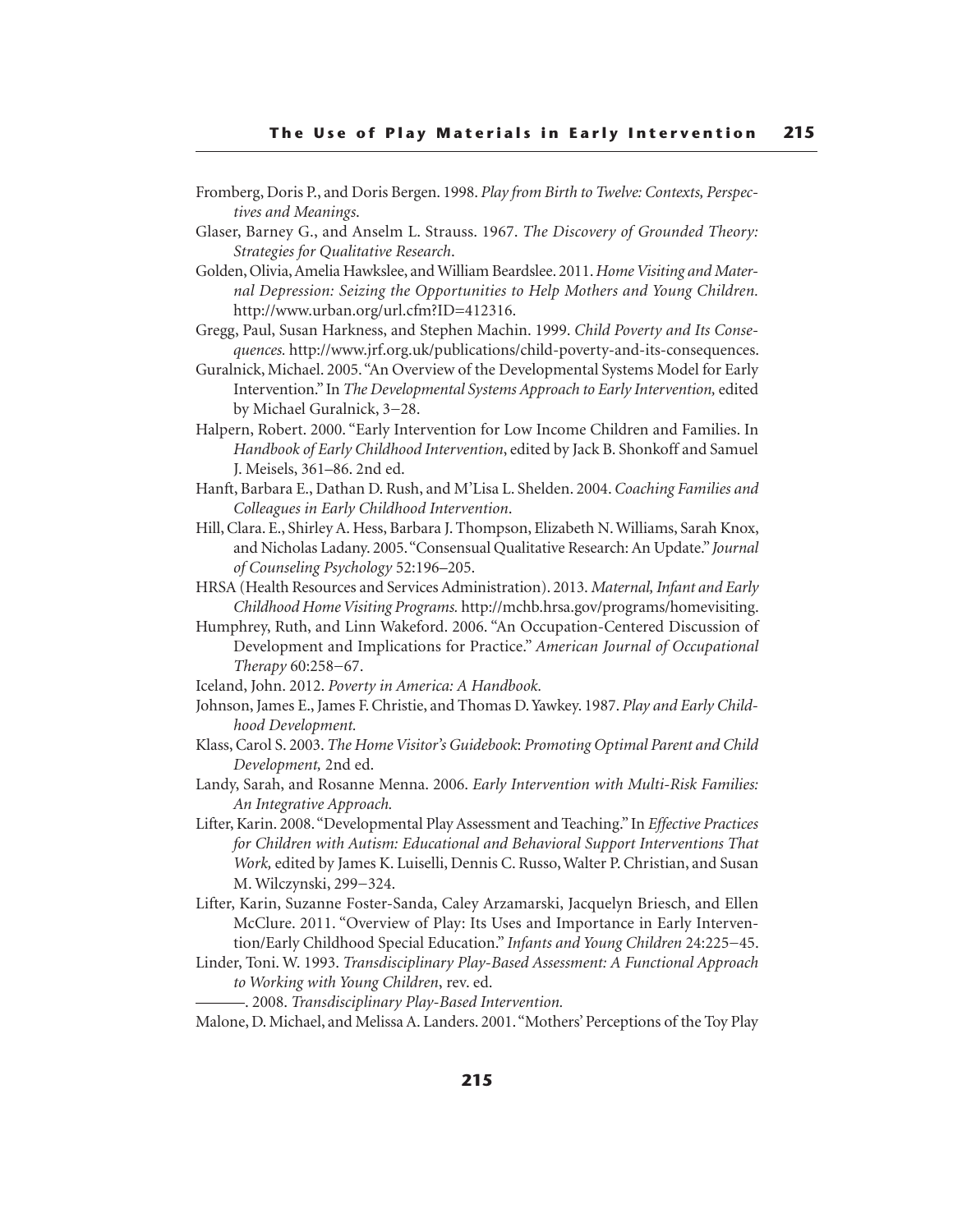- Fromberg, Doris P., and Doris Bergen. 1998. *Play from Birth to Twelve: Contexts, Perspectives and Meanings*.
- Glaser, Barney G., and Anselm L. Strauss. 1967. *The Discovery of Grounded Theory: Strategies for Qualitative Research*.
- Golden, Olivia, Amelia Hawkslee, and William Beardslee. 2011. *Home Visiting and Maternal Depression: Seizing the Opportunities to Help Mothers and Young Children.* http://www.urban.org/url.cfm?ID=412316.
- Gregg, Paul, Susan Harkness, and Stephen Machin. 1999. *Child Poverty and Its Consequences.* http://www.jrf.org.uk/publications/child-poverty-and-its-consequences.
- Guralnick, Michael. 2005. "An Overview of the Developmental Systems Model for Early Intervention." In *The Developmental Systems Approach to Early Intervention,* edited by Michael Guralnick, 3−28.
- Halpern, Robert. 2000. "Early Intervention for Low Income Children and Families. In *Handbook of Early Childhood Intervention*, edited by Jack B. Shonkoff and Samuel J. Meisels, 361–86. 2nd ed.
- Hanft, Barbara E., Dathan D. Rush, and M'Lisa L. Shelden. 2004. *Coaching Families and Colleagues in Early Childhood Intervention*.
- Hill, Clara. E., Shirley A. Hess, Barbara J. Thompson, Elizabeth N. Williams, Sarah Knox, and Nicholas Ladany. 2005. "Consensual Qualitative Research: An Update." *Journal of Counseling Psychology* 52:196–205.
- HRSA (Health Resources and Services Administration). 2013. *Maternal, Infant and Early Childhood Home Visiting Programs.* http://mchb.hrsa.gov/programs/homevisiting.
- Humphrey, Ruth, and Linn Wakeford. 2006. "An Occupation-Centered Discussion of Development and Implications for Practice." *American Journal of Occupational Therapy* 60:258−67.
- Iceland, John. 2012. *Poverty in America: A Handbook.*
- Johnson, James E., James F. Christie, and Thomas D. Yawkey. 1987. *Play and Early Childhood Development.*
- Klass, Carol S. 2003. *The Home Visitor's Guidebook*: *Promoting Optimal Parent and Child Development,* 2nd ed.
- Landy, Sarah, and Rosanne Menna. 2006. *Early Intervention with Multi-Risk Families: An Integrative Approach.*
- Lifter, Karin. 2008. "Developmental Play Assessment and Teaching." In *Effective Practices for Children with Autism: Educational and Behavioral Support Interventions That Work,* edited by James K. Luiselli, Dennis C. Russo, Walter P. Christian, and Susan M. Wilczynski, 299−324.
- Lifter, Karin, Suzanne Foster-Sanda, Caley Arzamarski, Jacquelyn Briesch, and Ellen McClure. 2011. "Overview of Play: Its Uses and Importance in Early Intervention/Early Childhood Special Education." *Infants and Young Children* 24:225−45.
- Linder, Toni. W. 1993. *Transdisciplinary Play-Based Assessment: A Functional Approach to Working with Young Children*, rev. ed.
	- ———. 2008. *Transdisciplinary Play-Based Intervention.*
- Malone, D. Michael, and Melissa A. Landers. 2001. "Mothers' Perceptions of the Toy Play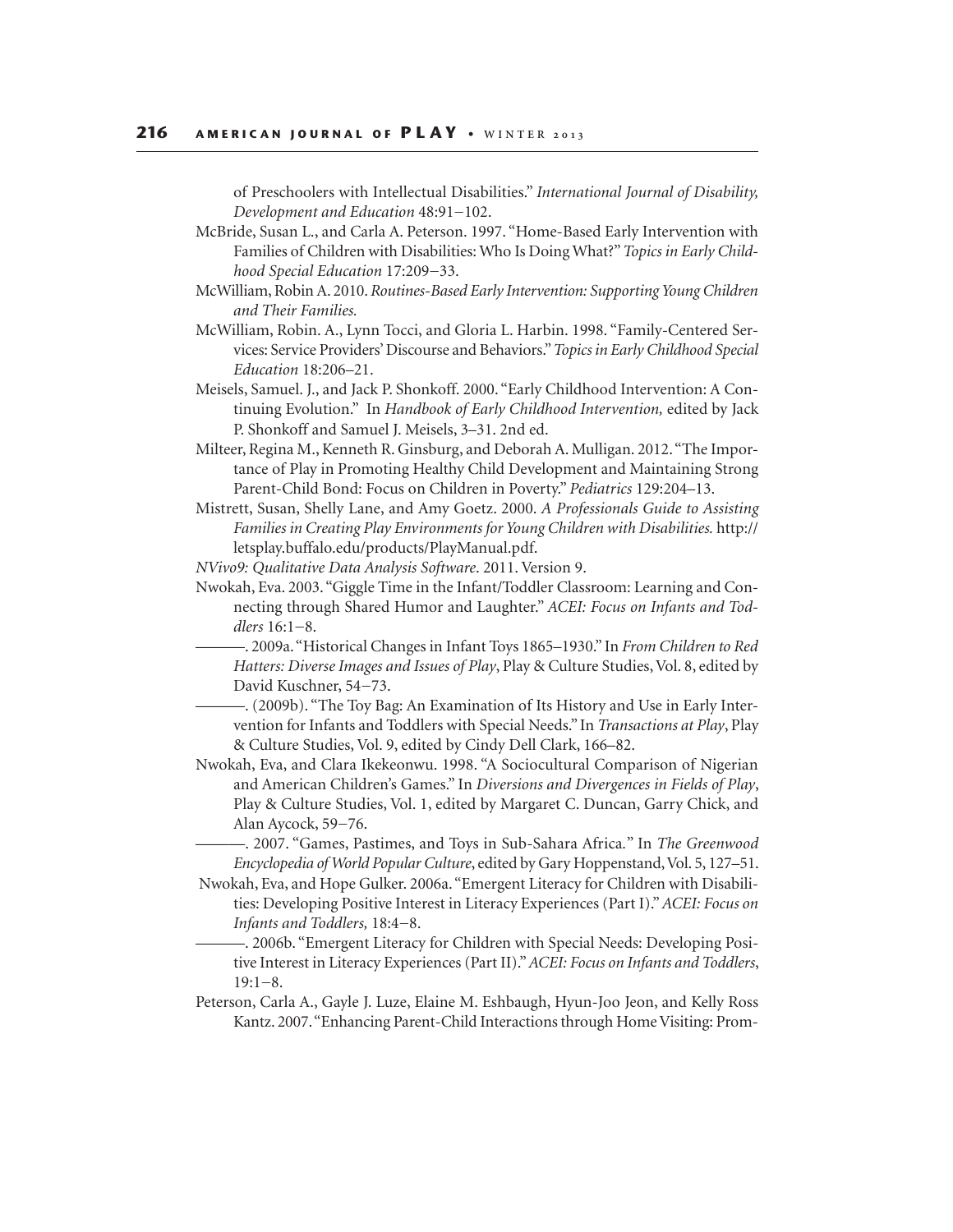of Preschoolers with Intellectual Disabilities." *International Journal of Disability, Development and Education* 48:91−102.

- McBride, Susan L., and Carla A. Peterson. 1997. "Home-Based Early Intervention with Families of Children with Disabilities: Who Is Doing What?" *Topics in Early Childhood Special Education* 17:209−33.
- McWilliam, Robin A. 2010. *Routines-Based Early Intervention: Supporting Young Children and Their Families.*
- McWilliam, Robin. A., Lynn Tocci, and Gloria L. Harbin. 1998. "Family-Centered Services: Service Providers' Discourse and Behaviors." *Topics in Early Childhood Special Education* 18:206–21.
- Meisels, Samuel. J., and Jack P. Shonkoff. 2000. "Early Childhood Intervention: A Continuing Evolution." In *Handbook of Early Childhood Intervention,* edited by Jack P. Shonkoff and Samuel J. Meisels, 3–31. 2nd ed.
- Milteer, Regina M., Kenneth R. Ginsburg, and Deborah A. Mulligan. 2012. "The Importance of Play in Promoting Healthy Child Development and Maintaining Strong Parent-Child Bond: Focus on Children in Poverty." *Pediatrics* 129:204–13.
- Mistrett, Susan, Shelly Lane, and Amy Goetz. 2000. *A Professionals Guide to Assisting Families in Creating Play Environments for Young Children with Disabilities.* http:// letsplay.buffalo.edu/products/PlayManual.pdf.
- *NVivo9: Qualitative Data Analysis Software*. 2011. Version 9.
- Nwokah, Eva. 2003. "Giggle Time in the Infant/Toddler Classroom: Learning and Connecting through Shared Humor and Laughter." *ACEI: Focus on Infants and Toddlers* 16:1−8.
	- ———. 2009a. "Historical Changes in Infant Toys 1865–1930." In *From Children to Red Hatters: Diverse Images and Issues of Play*, Play & Culture Studies, Vol. 8, edited by David Kuschner, 54−73.
	- ———. (2009b). "The Toy Bag: An Examination of Its History and Use in Early Intervention for Infants and Toddlers with Special Needs." In *Transactions at Play*, Play & Culture Studies, Vol. 9, edited by Cindy Dell Clark, 166–82.
- Nwokah, Eva, and Clara Ikekeonwu. 1998. "A Sociocultural Comparison of Nigerian and American Children's Games." In *Diversions and Divergences in Fields of Play*, Play & Culture Studies, Vol. 1, edited by Margaret C. Duncan, Garry Chick, and Alan Aycock, 59−76.

———. 2007. "Games, Pastimes, and Toys in Sub-Sahara Africa*.*" In *The Greenwood Encyclopedia of World Popular Culture*, edited by Gary Hoppenstand, Vol. 5, 127–51.

- Nwokah, Eva, and Hope Gulker. 2006a. "Emergent Literacy for Children with Disabilities: Developing Positive Interest in Literacy Experiences (Part I)." *ACEI: Focus on Infants and Toddlers,* 18:4−8.
	- ———. 2006b. "Emergent Literacy for Children with Special Needs: Developing Positive Interest in Literacy Experiences (Part II)." *ACEI: Focus on Infants and Toddlers*, 19:1−8.
- Peterson, Carla A., Gayle J. Luze, Elaine M. Eshbaugh, Hyun-Joo Jeon, and Kelly Ross Kantz. 2007. "Enhancing Parent-Child Interactions through Home Visiting: Prom-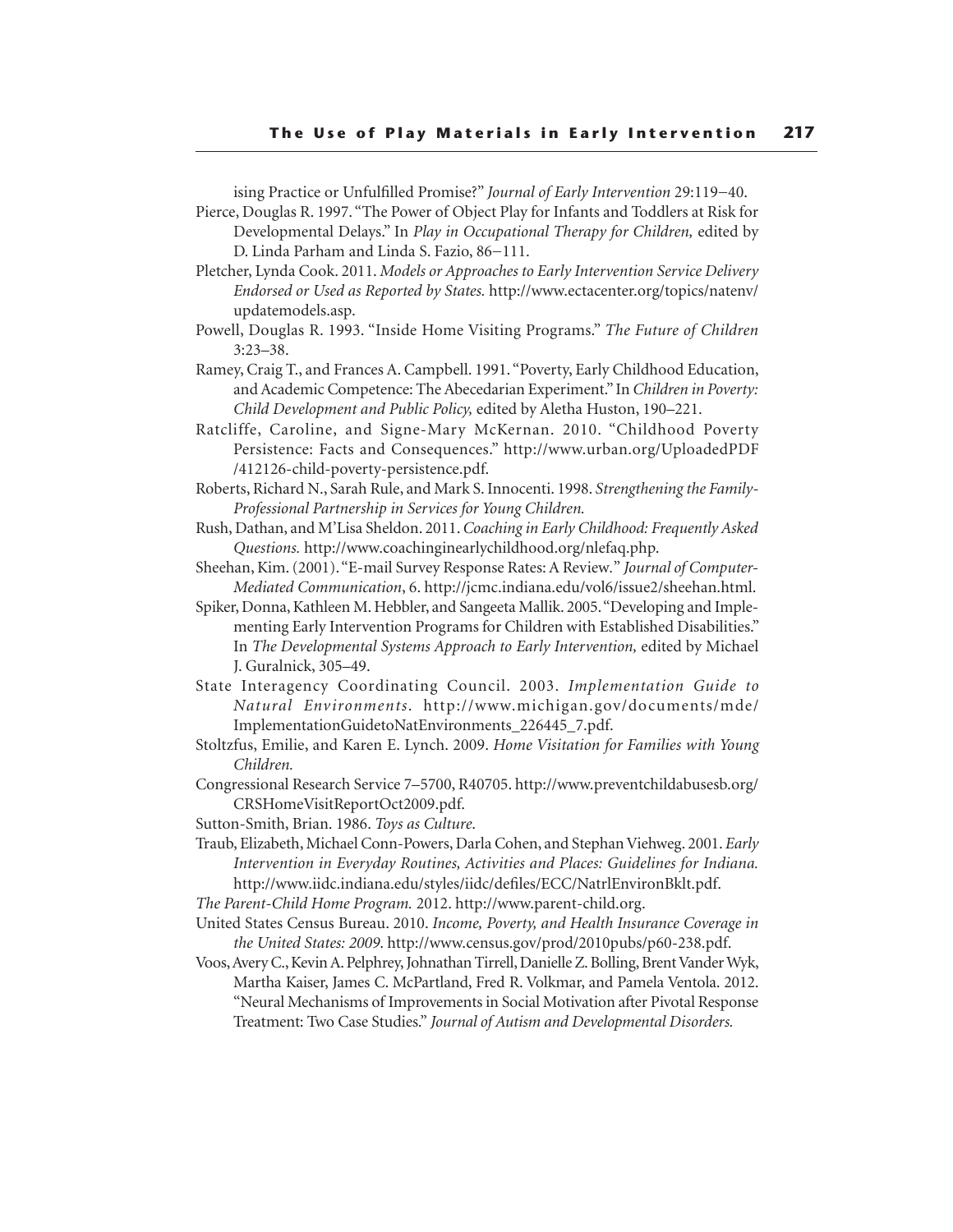ising Practice or Unfulfilled Promise?" *Journal of Early Intervention* 29:119−40.

Pierce, Douglas R. 1997. "The Power of Object Play for Infants and Toddlers at Risk for Developmental Delays." In *Play in Occupational Therapy for Children,* edited by D. Linda Parham and Linda S. Fazio, 86−111.

Pletcher, Lynda Cook. 2011. *Models or Approaches to Early Intervention Service Delivery Endorsed or Used as Reported by States.* http://www.ectacenter.org/topics/natenv/ updatemodels.asp.

- Powell, Douglas R. 1993. "Inside Home Visiting Programs." *The Future of Children* 3:23–38.
- Ramey, Craig T., and Frances A. Campbell. 1991. "Poverty, Early Childhood Education, and Academic Competence: The Abecedarian Experiment." In *Children in Poverty: Child Development and Public Policy,* edited by Aletha Huston, 190–221.
- Ratcliffe, Caroline, and Signe-Mary McKernan. 2010. "Childhood Poverty Persistence: Facts and Consequences." http://www.urban.org/UploadedPDF /412126-child-poverty-persistence.pdf.
- Roberts, Richard N., Sarah Rule, and Mark S. Innocenti. 1998. *Strengthening the Family-Professional Partnership in Services for Young Children.*
- Rush, Dathan, and M'Lisa Sheldon. 2011. *Coaching in Early Childhood: Frequently Asked Questions.* http://www.coachinginearlychildhood.org/nlefaq.php.
- Sheehan, Kim. (2001). "E-mail Survey Response Rates: A Review*.*" *Journal of Computer-Mediated Communication*, 6. http://jcmc.indiana.edu/vol6/issue2/sheehan.html.
- Spiker, Donna, Kathleen M. Hebbler, and Sangeeta Mallik. 2005. "Developing and Implementing Early Intervention Programs for Children with Established Disabilities." In *The Developmental Systems Approach to Early Intervention,* edited by Michael J. Guralnick, 305–49.
- State Interagency Coordinating Council. 2003. *Implementation Guide to Natural Environments*. http://www.michigan.gov/documents/mde/ ImplementationGuidetoNatEnvironments\_226445\_7.pdf.
- Stoltzfus, Emilie, and Karen E. Lynch. 2009. *Home Visitation for Families with Young Children.*
- Congressional Research Service 7–5700, R40705. http://www.preventchildabusesb.org/ CRSHomeVisitReportOct2009.pdf.
- Sutton-Smith, Brian. 1986. *Toys as Culture*.
- Traub, Elizabeth, Michael Conn-Powers, Darla Cohen, and Stephan Viehweg. 2001. *Early Intervention in Everyday Routines, Activities and Places: Guidelines for Indiana.*  http://www.iidc.indiana.edu/styles/iidc/defiles/ECC/NatrlEnvironBklt.pdf.
- *The Parent-Child Home Program.* 2012. http://www.parent-child.org.
- United States Census Bureau. 2010. *Income, Poverty, and Health Insurance Coverage in the United States: 2009*. http://www.census.gov/prod/2010pubs/p60-238.pdf.
- Voos, Avery C., Kevin A. Pelphrey, Johnathan Tirrell, Danielle Z. Bolling, Brent Vander Wyk, Martha Kaiser, James C. McPartland, Fred R. Volkmar, and Pamela Ventola. 2012. "Neural Mechanisms of Improvements in Social Motivation after Pivotal Response Treatment: Two Case Studies." *Journal of Autism and Developmental Disorders.*